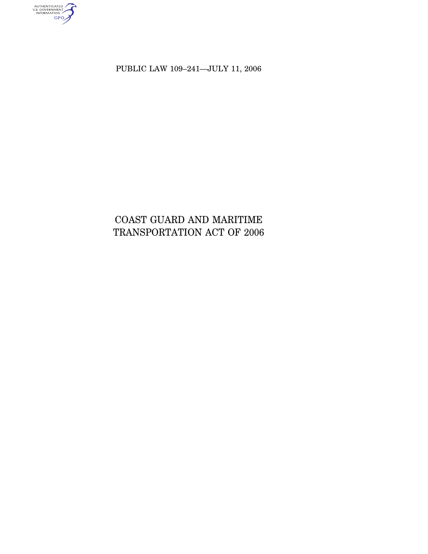PUBLIC LAW 109–241—JULY 11, 2006

AUTHENTICATED<br>U.S. GOVERNMENT<br>INFORMATION<br>GPO

# COAST GUARD AND MARITIME TRANSPORTATION ACT OF 2006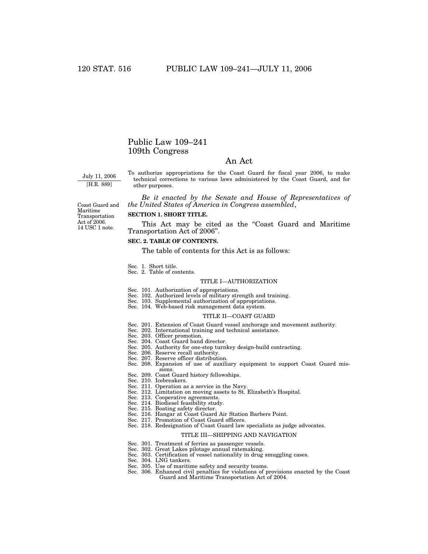## Public Law 109–241 109th Congress

## An Act

July 11, 2006 [H.R. 889]

To authorize appropriations for the Coast Guard for fiscal year 2006, to make technical corrections to various laws administered by the Coast Guard, and for other purposes.

*Be it enacted by the Senate and House of Representatives of the United States of America in Congress assembled*,

Coast Guard and Maritime Transportation Act of 2006. 14 USC 1 note.

## **SECTION 1. SHORT TITLE.**

This Act may be cited as the "Coast Guard and Maritime Transportation Act of 2006''.

## **SEC. 2. TABLE OF CONTENTS.**

The table of contents for this Act is as follows:

- 
- Sec. 1. Short title. Sec. 2. Table of contents.

#### TITLE I—AUTHORIZATION

- 
- Sec. 101. Authorization of appropriations. Sec. 102. Authorized levels of military strength and training.
- Sec. 103. Supplemental authorization of appropriations.
- Sec. 104. Web-based risk management data system.

#### TITLE II—COAST GUARD

- Sec. 201. Extension of Coast Guard vessel anchorage and movement authority.
- Sec. 202. International training and technical assistance.
- Sec. 203. Officer promotion.
- Sec. 204. Coast Guard band director.
- Sec. 205. Authority for one-step turnkey design-build contracting.
- Sec. 206. Reserve recall authority.
- Sec. 207. Reserve officer distribution.
- Sec. 208. Expansion of use of auxiliary equipment to support Coast Guard missions.
- Sec. 209. Coast Guard history fellowships.
- Sec. 210. Icebreakers.
- Sec. 211. Operation as a service in the Navy.
- Sec. 212. Limitation on moving assets to St. Elizabeth's Hospital.
- Sec. 213. Cooperative agreements.
- Sec. 214. Biodiesel feasibility study.
- Sec. 215. Boating safety director.
- Sec. 216. Hangar at Coast Guard Air Station Barbers Point.
- Sec. 217. Promotion of Coast Guard officers.
- Sec. 218. Redesignation of Coast Guard law specialists as judge advocates.

#### TITLE III—SHIPPING AND NAVIGATION

- Sec. 301. Treatment of ferries as passenger vessels.
- Sec. 302. Great Lakes pilotage annual ratemaking.
- Sec. 303. Certification of vessel nationality in drug smuggling cases.
- Sec. 304. LNG tankers.
- Sec. 305. Use of maritime safety and security teams.
- Sec. 306. Enhanced civil penalties for violations of provisions enacted by the Coast Guard and Maritime Transportation Act of 2004.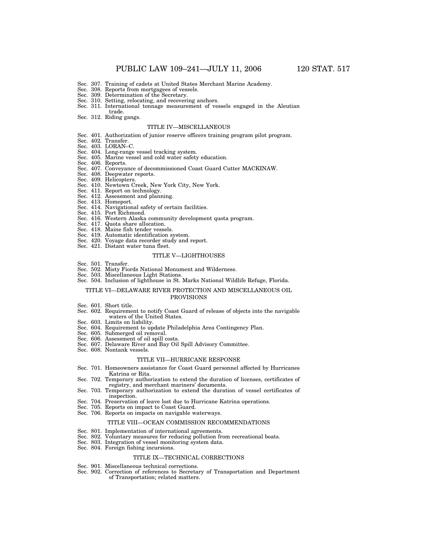- Sec. 307. Training of cadets at United States Merchant Marine Academy.
- Sec. 308. Reports from mortgagees of vessels. Sec. 309. Determination of the Secretary.
- 
- Sec. 310. Setting, relocating, and recovering anchors.
- Sec. 311. International tonnage measurement of vessels engaged in the Aleutian trade.
- Sec. 312. Riding gangs.

#### TITLE IV—MISCELLANEOUS

- Sec. 401. Authorization of junior reserve officers training program pilot program. Sec. 402. Transfer. Sec. 403. LORAN–C.
- 
- 
- Sec. 404. Long-range vessel tracking system. Sec. 405. Marine vessel and cold water safety education.
- Sec. 406. Reports.
- 
- Sec. 407. Conveyance of decommissioned Coast Guard Cutter MACKINAW. Sec. 408. Deepwater reports.
- Sec. 409. Helicopters.
- Sec. 410. Newtown Creek, New York City, New York. Sec. 411. Report on technology.
- 
- Sec. 412. Assessment and planning. Sec. 413. Homeport.
- 
- Sec. 414. Navigational safety of certain facilities. Sec. 415. Port Richmond.
- 
- Sec. 416. Western Alaska community development quota program. Sec. 417. Quota share allocation.
- 
- Sec. 418. Maine fish tender vessels.
- Sec. 419. Automatic identification system. Sec. 420. Voyage data recorder study and report.
- Sec. 421. Distant water tuna fleet.
- 

### TITLE V—LIGHTHOUSES

- 
- Sec. 501. Transfer. Sec. 502. Misty Fiords National Monument and Wilderness.
- Sec. 503. Miscellaneous Light Stations.
- Sec. 504. Inclusion of lighthouse in St. Marks National Wildlife Refuge, Florida.

#### TITLE VI—DELAWARE RIVER PROTECTION AND MISCELLANEOUS OIL PROVISIONS

- Sec. 601. Short title.
- Sec. 602. Requirement to notify Coast Guard of release of objects into the navigable waters of the United States.
- Sec. 603. Limits on liability.
- Sec. 604. Requirement to update Philadelphia Area Contingency Plan.
- Sec. 605. Submerged oil removal.
- Sec. 606. Assessment of oil spill costs.
- Sec. 607. Delaware River and Bay Oil Spill Advisory Committee.
- Sec. 608. Nontank vessels.

#### TITLE VII—HURRICANE RESPONSE

- Sec. 701. Homeowners assistance for Coast Guard personnel affected by Hurricanes Katrina or Rita.
- Sec. 702. Temporary authorization to extend the duration of licenses, certificates of registry, and merchant mariners' documents.
- Sec. 703. Temporary authorization to extend the duration of vessel certificates of inspection.
- Sec. 704. Preservation of leave lost due to Hurricane Katrina operations.
- Sec. 705. Reports on impact to Coast Guard.
- Sec. 706. Reports on impacts on navigable waterways.

#### TITLE VIII—OCEAN COMMISSION RECOMMENDATIONS

- Sec. 801. Implementation of international agreements.
- Sec. 802. Voluntary measures for reducing pollution from recreational boats.
- Sec. 803. Integration of vessel monitoring system data.
- Sec. 804. Foreign fishing incursions.

#### TITLE IX—TECHNICAL CORRECTIONS

- Sec. 901. Miscellaneous technical corrections.
- Sec. 902. Correction of references to Secretary of Transportation and Department of Transportation; related matters.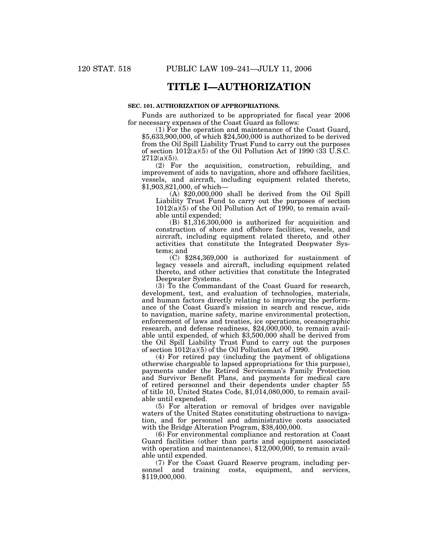## **TITLE I—AUTHORIZATION**

## **SEC. 101. AUTHORIZATION OF APPROPRIATIONS.**

Funds are authorized to be appropriated for fiscal year 2006 for necessary expenses of the Coast Guard as follows:

(1) For the operation and maintenance of the Coast Guard, \$5,633,900,000, of which \$24,500,000 is authorized to be derived from the Oil Spill Liability Trust Fund to carry out the purposes of section 1012(a)(5) of the Oil Pollution Act of 1990 (33 U.S.C.  $2712(a)(5)$ ).

(2) For the acquisition, construction, rebuilding, and improvement of aids to navigation, shore and offshore facilities, vessels, and aircraft, including equipment related thereto, \$1,903,821,000, of which—

(A) \$20,000,000 shall be derived from the Oil Spill Liability Trust Fund to carry out the purposes of section  $1012(a)(5)$  of the Oil Pollution Act of 1990, to remain available until expended;

 $(B)$  \$1,316,300,000 is authorized for acquisition and construction of shore and offshore facilities, vessels, and aircraft, including equipment related thereto, and other activities that constitute the Integrated Deepwater Systems; and

(C) \$284,369,000 is authorized for sustainment of legacy vessels and aircraft, including equipment related thereto, and other activities that constitute the Integrated Deepwater Systems.

(3) To the Commandant of the Coast Guard for research, development, test, and evaluation of technologies, materials, and human factors directly relating to improving the performance of the Coast Guard's mission in search and rescue, aids to navigation, marine safety, marine environmental protection, enforcement of laws and treaties, ice operations, oceanographic research, and defense readiness, \$24,000,000, to remain available until expended, of which \$3,500,000 shall be derived from the Oil Spill Liability Trust Fund to carry out the purposes of section 1012(a)(5) of the Oil Pollution Act of 1990.

(4) For retired pay (including the payment of obligations otherwise chargeable to lapsed appropriations for this purpose), payments under the Retired Serviceman's Family Protection and Survivor Benefit Plans, and payments for medical care of retired personnel and their dependents under chapter 55 of title 10, United States Code, \$1,014,080,000, to remain available until expended.

(5) For alteration or removal of bridges over navigable waters of the United States constituting obstructions to navigation, and for personnel and administrative costs associated with the Bridge Alteration Program, \$38,400,000.

(6) For environmental compliance and restoration at Coast Guard facilities (other than parts and equipment associated with operation and maintenance), \$12,000,000, to remain available until expended.

(7) For the Coast Guard Reserve program, including per-<br>sonnel and training costs, equipment, and services, training costs, equipment, and services, \$119,000,000.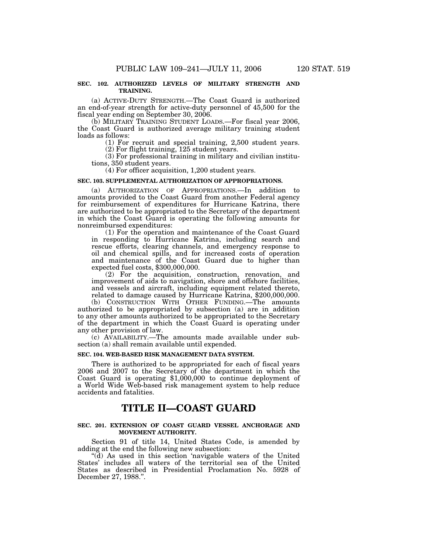#### **SEC. 102. AUTHORIZED LEVELS OF MILITARY STRENGTH AND TRAINING.**

(a) ACTIVE-DUTY STRENGTH.—The Coast Guard is authorized an end-of-year strength for active-duty personnel of 45,500 for the fiscal year ending on September 30, 2006.

(b) MILITARY TRAINING STUDENT LOADS.—For fiscal year 2006, the Coast Guard is authorized average military training student loads as follows:

(1) For recruit and special training, 2,500 student years. (2) For flight training, 125 student years.

(3) For professional training in military and civilian institutions, 350 student years.

(4) For officer acquisition, 1,200 student years.

## **SEC. 103. SUPPLEMENTAL AUTHORIZATION OF APPROPRIATIONS.**

(a) AUTHORIZATION OF APPROPRIATIONS.—In addition to amounts provided to the Coast Guard from another Federal agency for reimbursement of expenditures for Hurricane Katrina, there are authorized to be appropriated to the Secretary of the department in which the Coast Guard is operating the following amounts for nonreimbursed expenditures:

(1) For the operation and maintenance of the Coast Guard in responding to Hurricane Katrina, including search and rescue efforts, clearing channels, and emergency response to oil and chemical spills, and for increased costs of operation and maintenance of the Coast Guard due to higher than expected fuel costs, \$300,000,000.

(2) For the acquisition, construction, renovation, and improvement of aids to navigation, shore and offshore facilities, and vessels and aircraft, including equipment related thereto, related to damage caused by Hurricane Katrina, \$200,000,000.

(b) CONSTRUCTION WITH OTHER FUNDING.—The amounts authorized to be appropriated by subsection (a) are in addition to any other amounts authorized to be appropriated to the Secretary of the department in which the Coast Guard is operating under any other provision of law.

(c) AVAILABILITY.—The amounts made available under subsection (a) shall remain available until expended.

#### **SEC. 104. WEB-BASED RISK MANAGEMENT DATA SYSTEM.**

There is authorized to be appropriated for each of fiscal years 2006 and 2007 to the Secretary of the department in which the Coast Guard is operating \$1,000,000 to continue deployment of a World Wide Web-based risk management system to help reduce accidents and fatalities.

## **TITLE II—COAST GUARD**

#### **SEC. 201. EXTENSION OF COAST GUARD VESSEL ANCHORAGE AND MOVEMENT AUTHORITY.**

Section 91 of title 14, United States Code, is amended by adding at the end the following new subsection:

''(d) As used in this section 'navigable waters of the United States' includes all waters of the territorial sea of the United States as described in Presidential Proclamation No. 5928 of December 27, 1988.''.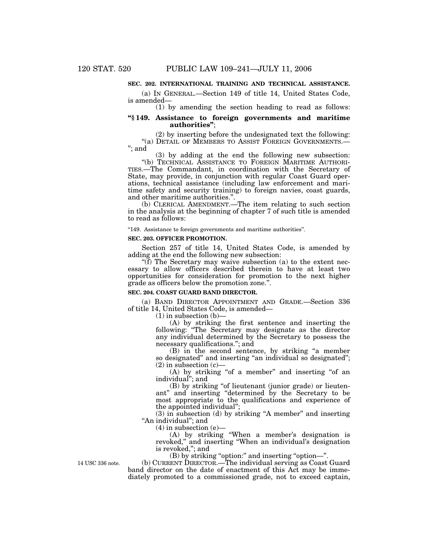### **SEC. 202. INTERNATIONAL TRAINING AND TECHNICAL ASSISTANCE.**

(a) IN GENERAL.—Section 149 of title 14, United States Code, is amended—

(1) by amending the section heading to read as follows:

### **''§ 149. Assistance to foreign governments and maritime authorities''**;

(2) by inserting before the undesignated text the following: ''(a) DETAIL OF MEMBERS TO ASSIST FOREIGN GOVERNMENTS.— ''; and

(3) by adding at the end the following new subsection: ''(b) TECHNICAL ASSISTANCE TO FOREIGN MARITIME AUTHORI-TIES.—The Commandant, in coordination with the Secretary of State, may provide, in conjunction with regular Coast Guard operations, technical assistance (including law enforcement and maritime safety and security training) to foreign navies, coast guards, and other maritime authorities.''.

(b) CLERICAL AMENDMENT.—The item relating to such section in the analysis at the beginning of chapter 7 of such title is amended to read as follows:

"149. Assistance to foreign governments and maritime authorities".

#### **SEC. 203. OFFICER PROMOTION.**

Section 257 of title 14, United States Code, is amended by adding at the end the following new subsection:

''(f) The Secretary may waive subsection (a) to the extent necessary to allow officers described therein to have at least two opportunities for consideration for promotion to the next higher grade as officers below the promotion zone.''.

## **SEC. 204. COAST GUARD BAND DIRECTOR.**

(a) BAND DIRECTOR APPOINTMENT AND GRADE.—Section 336 of title 14, United States Code, is amended—

 $(1)$  in subsection  $(b)$ -

(A) by striking the first sentence and inserting the following: ''The Secretary may designate as the director any individual determined by the Secretary to possess the necessary qualifications.''; and

(B) in the second sentence, by striking ''a member so designated" and inserting "an individual so designated";  $(2)$  in subsection  $(c)$ —

(A) by striking "of a member" and inserting "of an individual''; and

(B) by striking ''of lieutenant (junior grade) or lieutenant'' and inserting ''determined by the Secretary to be most appropriate to the qualifications and experience of the appointed individual'';

 $(3)$  in subsection  $(d)$  by striking "A member" and inserting "An individual"; and

 $(4)$  in subsection  $(e)$ —

(A) by striking ''When a member's designation is revoked,'' and inserting ''When an individual's designation is revoked,''; and

 $(B)$  by striking "option:" and inserting "option—".

(b) CURRENT DIRECTOR.—The individual serving as Coast Guard band director on the date of enactment of this Act may be immediately promoted to a commissioned grade, not to exceed captain,

14 USC 336 note.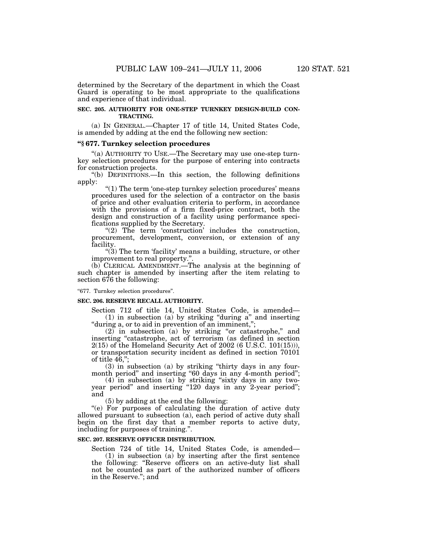determined by the Secretary of the department in which the Coast Guard is operating to be most appropriate to the qualifications and experience of that individual.

#### **SEC. 205. AUTHORITY FOR ONE-STEP TURNKEY DESIGN-BUILD CON-TRACTING.**

(a) IN GENERAL.—Chapter 17 of title 14, United States Code, is amended by adding at the end the following new section:

### **''§ 677. Turnkey selection procedures**

"(a) AUTHORITY TO USE.—The Secretary may use one-step turnkey selection procedures for the purpose of entering into contracts for construction projects.

''(b) DEFINITIONS.—In this section, the following definitions apply:

''(1) The term 'one-step turnkey selection procedures' means procedures used for the selection of a contractor on the basis of price and other evaluation criteria to perform, in accordance with the provisions of a firm fixed-price contract, both the design and construction of a facility using performance specifications supplied by the Secretary.

" $(2)$  The term 'construction' includes the construction, procurement, development, conversion, or extension of any facility.

 $\degree$ (3) The term 'facility' means a building, structure, or other improvement to real property.''.

(b) CLERICAL AMENDMENT.—The analysis at the beginning of such chapter is amended by inserting after the item relating to section 676 the following:

"677. Turnkey selection procedures".

#### **SEC. 206. RESERVE RECALL AUTHORITY.**

Section 712 of title 14, United States Code, is amended— (1) in subsection (a) by striking ''during a'' and inserting "during a, or to aid in prevention of an imminent,";

(2) in subsection (a) by striking ''or catastrophe,'' and inserting "catastrophe, act of terrorism (as defined in section 2(15) of the Homeland Security Act of 2002 (6 U.S.C. 101(15))), or transportation security incident as defined in section 70101 of title  $46$ ,";

(3) in subsection (a) by striking ''thirty days in any fourmonth period" and inserting "60 days in any 4-month period";

(4) in subsection (a) by striking ''sixty days in any twoyear period" and inserting "120 days in any 2-year period"; and

(5) by adding at the end the following:

''(e) For purposes of calculating the duration of active duty allowed pursuant to subsection (a), each period of active duty shall begin on the first day that a member reports to active duty, including for purposes of training.''.

## **SEC. 207. RESERVE OFFICER DISTRIBUTION.**

Section 724 of title 14, United States Code, is amended— (1) in subsection (a) by inserting after the first sentence the following: ''Reserve officers on an active-duty list shall not be counted as part of the authorized number of officers in the Reserve.''; and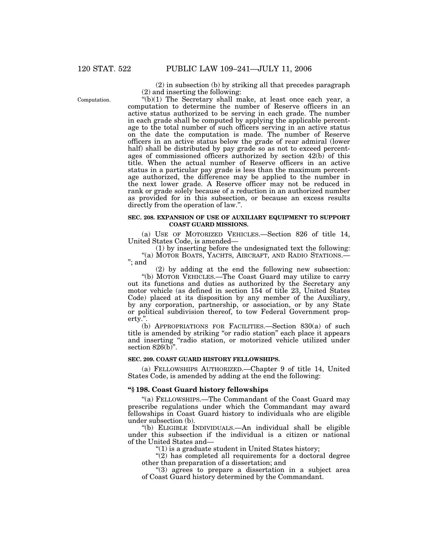Computation.

(2) in subsection (b) by striking all that precedes paragraph (2) and inserting the following:

 $'(b)(1)$  The Secretary shall make, at least once each year, a computation to determine the number of Reserve officers in an active status authorized to be serving in each grade. The number in each grade shall be computed by applying the applicable percentage to the total number of such officers serving in an active status on the date the computation is made. The number of Reserve officers in an active status below the grade of rear admiral (lower half) shall be distributed by pay grade so as not to exceed percentages of commissioned officers authorized by section 42(b) of this title. When the actual number of Reserve officers in an active status in a particular pay grade is less than the maximum percentage authorized, the difference may be applied to the number in the next lower grade. A Reserve officer may not be reduced in rank or grade solely because of a reduction in an authorized number as provided for in this subsection, or because an excess results directly from the operation of law.''.

#### **SEC. 208. EXPANSION OF USE OF AUXILIARY EQUIPMENT TO SUPPORT COAST GUARD MISSIONS.**

(a) USE OF MOTORIZED VEHICLES.—Section 826 of title 14, United States Code, is amended—

(1) by inserting before the undesignated text the following: "(a) MOTOR BOATS, YACHTS, AIRCRAFT, AND RADIO STATIONS.-''; and

(2) by adding at the end the following new subsection:

''(b) MOTOR VEHICLES.—The Coast Guard may utilize to carry out its functions and duties as authorized by the Secretary any motor vehicle (as defined in section 154 of title 23, United States Code) placed at its disposition by any member of the Auxiliary, by any corporation, partnership, or association, or by any State or political subdivision thereof, to tow Federal Government property.''.

(b) APPROPRIATIONS FOR FACILITIES.—Section 830(a) of such title is amended by striking ''or radio station'' each place it appears and inserting ''radio station, or motorized vehicle utilized under section  $826(b)$ .

#### **SEC. 209. COAST GUARD HISTORY FELLOWSHIPS.**

(a) FELLOWSHIPS AUTHORIZED.—Chapter 9 of title 14, United States Code, is amended by adding at the end the following:

#### **''§ 198. Coast Guard history fellowships**

''(a) FELLOWSHIPS.—The Commandant of the Coast Guard may prescribe regulations under which the Commandant may award fellowships in Coast Guard history to individuals who are eligible under subsection (b).

''(b) ELIGIBLE INDIVIDUALS.—An individual shall be eligible under this subsection if the individual is a citizen or national of the United States and—

 $''(1)$  is a graduate student in United States history;

 $''(2)$  has completed all requirements for a doctoral degree other than preparation of a dissertation; and

"(3) agrees to prepare a dissertation in a subject area of Coast Guard history determined by the Commandant.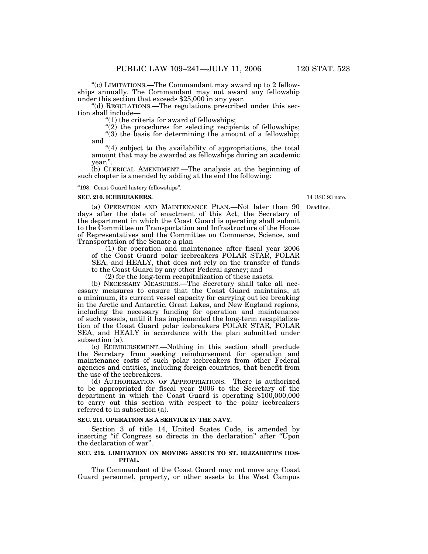''(c) LIMITATIONS.—The Commandant may award up to 2 fellowships annually. The Commandant may not award any fellowship under this section that exceeds \$25,000 in any year.

''(d) REGULATIONS.—The regulations prescribed under this section shall include—

''(1) the criteria for award of fellowships;

 $''(2)$  the procedures for selecting recipients of fellowships;

''(3) the basis for determining the amount of a fellowship; and

"(4) subject to the availability of appropriations, the total amount that may be awarded as fellowships during an academic year.''.

(b) CLERICAL AMENDMENT.—The analysis at the beginning of such chapter is amended by adding at the end the following:

''198. Coast Guard history fellowships''.

#### **SEC. 210. ICEBREAKERS.**

14 USC 93 note.

Deadline.

(a) OPERATION AND MAINTENANCE PLAN.—Not later than 90 days after the date of enactment of this Act, the Secretary of the department in which the Coast Guard is operating shall submit to the Committee on Transportation and Infrastructure of the House of Representatives and the Committee on Commerce, Science, and Transportation of the Senate a plan—

(1) for operation and maintenance after fiscal year 2006 of the Coast Guard polar icebreakers POLAR STAR, POLAR SEA, and HEALY, that does not rely on the transfer of funds to the Coast Guard by any other Federal agency; and

(2) for the long-term recapitalization of these assets.

(b) NECESSARY MEASURES.—The Secretary shall take all necessary measures to ensure that the Coast Guard maintains, at a minimum, its current vessel capacity for carrying out ice breaking in the Arctic and Antarctic, Great Lakes, and New England regions, including the necessary funding for operation and maintenance of such vessels, until it has implemented the long-term recapitalization of the Coast Guard polar icebreakers POLAR STAR, POLAR SEA, and HEALY in accordance with the plan submitted under subsection (a).

(c) REIMBURSEMENT.—Nothing in this section shall preclude the Secretary from seeking reimbursement for operation and maintenance costs of such polar icebreakers from other Federal agencies and entities, including foreign countries, that benefit from the use of the icebreakers.

(d) AUTHORIZATION OF APPROPRIATIONS.—There is authorized to be appropriated for fiscal year 2006 to the Secretary of the department in which the Coast Guard is operating \$100,000,000 to carry out this section with respect to the polar icebreakers referred to in subsection (a).

#### **SEC. 211. OPERATION AS A SERVICE IN THE NAVY.**

Section 3 of title 14, United States Code, is amended by inserting ''if Congress so directs in the declaration'' after ''Upon the declaration of war''.

#### **SEC. 212. LIMITATION ON MOVING ASSETS TO ST. ELIZABETH'S HOS-PITAL.**

The Commandant of the Coast Guard may not move any Coast Guard personnel, property, or other assets to the West Campus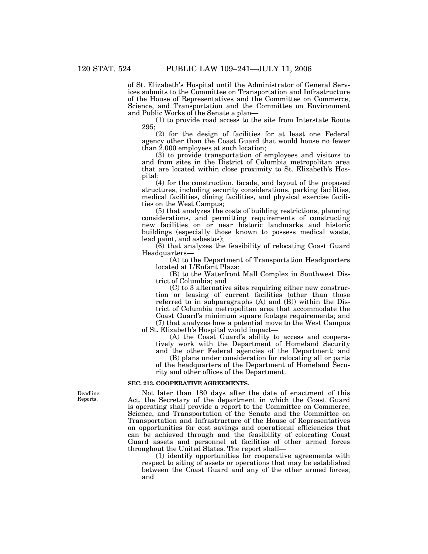of St. Elizabeth's Hospital until the Administrator of General Services submits to the Committee on Transportation and Infrastructure of the House of Representatives and the Committee on Commerce, Science, and Transportation and the Committee on Environment and Public Works of the Senate a plan—

(1) to provide road access to the site from Interstate Route 295;

(2) for the design of facilities for at least one Federal agency other than the Coast Guard that would house no fewer than 2,000 employees at such location;

(3) to provide transportation of employees and visitors to and from sites in the District of Columbia metropolitan area that are located within close proximity to St. Elizabeth's Hospital;

(4) for the construction, facade, and layout of the proposed structures, including security considerations, parking facilities, medical facilities, dining facilities, and physical exercise facilities on the West Campus;

(5) that analyzes the costs of building restrictions, planning considerations, and permitting requirements of constructing new facilities on or near historic landmarks and historic buildings (especially those known to possess medical waste, lead paint, and asbestos);

(6) that analyzes the feasibility of relocating Coast Guard Headquarters—

(A) to the Department of Transportation Headquarters located at L'Enfant Plaza;

(B) to the Waterfront Mall Complex in Southwest District of Columbia; and

(C) to 3 alternative sites requiring either new construction or leasing of current facilities (other than those referred to in subparagraphs  $(A)$  and  $(B)$ ) within the District of Columbia metropolitan area that accommodate the Coast Guard's minimum square footage requirements; and (7) that analyzes how a potential move to the West Campus

of St. Elizabeth's Hospital would impact—

(A) the Coast Guard's ability to access and cooperatively work with the Department of Homeland Security and the other Federal agencies of the Department; and

(B) plans under consideration for relocating all or parts of the headquarters of the Department of Homeland Security and other offices of the Department.

#### **SEC. 213. COOPERATIVE AGREEMENTS.**

Not later than 180 days after the date of enactment of this Act, the Secretary of the department in which the Coast Guard is operating shall provide a report to the Committee on Commerce, Science, and Transportation of the Senate and the Committee on Transportation and Infrastructure of the House of Representatives on opportunities for cost savings and operational efficiencies that can be achieved through and the feasibility of colocating Coast Guard assets and personnel at facilities of other armed forces throughout the United States. The report shall—

(1) identify opportunities for cooperative agreements with respect to siting of assets or operations that may be established between the Coast Guard and any of the other armed forces; and

Deadline. Reports.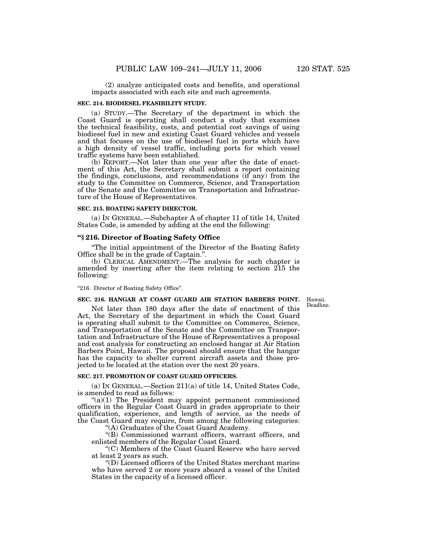(2) analyze anticipated costs and benefits, and operational impacts associated with each site and such agreements.

#### **SEC. 214. BIODIESEL FEASIBILITY STUDY.**

(a) STUDY.—The Secretary of the department in which the Coast Guard is operating shall conduct a study that examines the technical feasibility, costs, and potential cost savings of using biodiesel fuel in new and existing Coast Guard vehicles and vessels and that focuses on the use of biodiesel fuel in ports which have a high density of vessel traffic, including ports for which vessel traffic systems have been established.

(b) REPORT.—Not later than one year after the date of enactment of this Act, the Secretary shall submit a report containing the findings, conclusions, and recommendations (if any) from the study to the Committee on Commerce, Science, and Transportation of the Senate and the Committee on Transportation and Infrastructure of the House of Representatives.

#### **SEC. 215. BOATING SAFETY DIRECTOR.**

(a) IN GENERAL.—Subchapter A of chapter 11 of title 14, United States Code, is amended by adding at the end the following:

#### **''§ 216. Director of Boating Safety Office**

''The initial appointment of the Director of the Boating Safety Office shall be in the grade of Captain.''.

(b) CLERICAL AMENDMENT.—The analysis for such chapter is amended by inserting after the item relating to section 215 the following:

#### ''216. Director of Boating Safety Office''.

#### **SEC. 216. HANGAR AT COAST GUARD AIR STATION BARBERS POINT.**

Hawaii. Deadline.

Not later than 180 days after the date of enactment of this Act, the Secretary of the department in which the Coast Guard is operating shall submit to the Committee on Commerce, Science, and Transportation of the Senate and the Committee on Transportation and Infrastructure of the House of Representatives a proposal and cost analysis for constructing an enclosed hangar at Air Station Barbers Point, Hawaii. The proposal should ensure that the hangar has the capacity to shelter current aircraft assets and those projected to be located at the station over the next 20 years.

#### **SEC. 217. PROMOTION OF COAST GUARD OFFICERS.**

(a) IN GENERAL.—Section 211(a) of title 14, United States Code, is amended to read as follows:

 $((a)(1)$  The President may appoint permanent commissioned officers in the Regular Coast Guard in grades appropriate to their qualification, experience, and length of service, as the needs of the Coast Guard may require, from among the following categories:

''(A) Graduates of the Coast Guard Academy.

''(B) Commissioned warrant officers, warrant officers, and enlisted members of the Regular Coast Guard.

''(C) Members of the Coast Guard Reserve who have served at least 2 years as such.

''(D) Licensed officers of the United States merchant marine who have served 2 or more years aboard a vessel of the United States in the capacity of a licensed officer.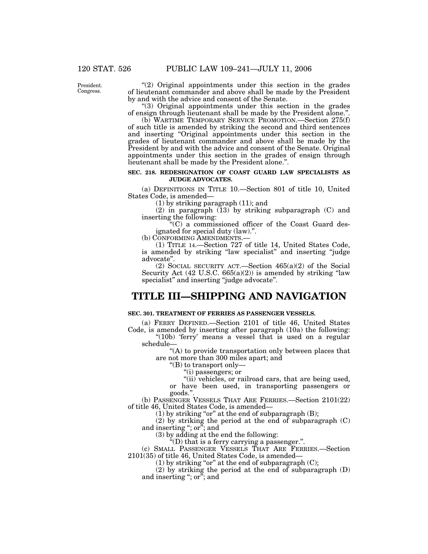President. **Congress** 

"(2) Original appointments under this section in the grades of lieutenant commander and above shall be made by the President by and with the advice and consent of the Senate.

''(3) Original appointments under this section in the grades of ensign through lieutenant shall be made by the President alone.''.

(b) WARTIME TEMPORARY SERVICE PROMOTION.—Section 275(f) of such title is amended by striking the second and third sentences and inserting "Original appointments under this section in the grades of lieutenant commander and above shall be made by the President by and with the advice and consent of the Senate. Original appointments under this section in the grades of ensign through lieutenant shall be made by the President alone.''.

## **SEC. 218. REDESIGNATION OF COAST GUARD LAW SPECIALISTS AS JUDGE ADVOCATES.**

(a) DEFINITIONS IN TITLE 10.—Section 801 of title 10, United States Code, is amended—

(1) by striking paragraph (11); and

(2) in paragraph (13) by striking subparagraph (C) and inserting the following:

''(C) a commissioned officer of the Coast Guard designated for special duty (law).''.

(b) CONFORMING AMENDMENTS.—

(1) TITLE 14.—Section 727 of title 14, United States Code, is amended by striking "law specialist" and inserting "judge advocate''.

(2) SOCIAL SECURITY ACT.—Section 465(a)(2) of the Social Security Act  $(42 \text{ U.S.C. } 665(a)(2))$  is amended by striking "law specialist" and inserting "judge advocate".

## **TITLE III—SHIPPING AND NAVIGATION**

## **SEC. 301. TREATMENT OF FERRIES AS PASSENGER VESSELS.**

(a) FERRY DEFINED.—Section 2101 of title 46, United States Code, is amended by inserting after paragraph (10a) the following:

"(10b) 'ferry' means a vessel that is used on a regular schedule—

''(A) to provide transportation only between places that are not more than 300 miles apart; and

''(B) to transport only—

''(i) passengers; or

"(ii) vehicles, or railroad cars, that are being used, or have been used, in transporting passengers or

goods.''.

(b) PASSENGER VESSELS THAT ARE FERRIES.—Section 2101(22) of title 46, United States Code, is amended—

 $(1)$  by striking "or" at the end of subparagraph  $(B)$ ;

(2) by striking the period at the end of subparagraph (C) and inserting ''; or''; and

(3) by adding at the end the following:

 $E^{(n)}(D)$  that is a ferry carrying a passenger.".

(c) SMALL PASSENGER VESSELS THAT ARE FERRIES.—Section 2101(35) of title 46, United States Code, is amended—

(1) by striking "or" at the end of subparagraph  $(C)$ ;

(2) by striking the period at the end of subparagraph (D) and inserting "; or"; and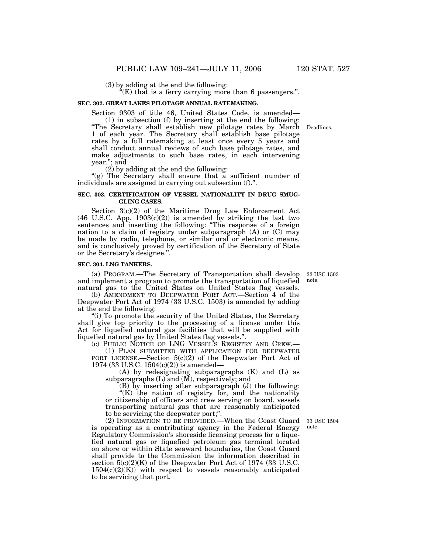(3) by adding at the end the following:

''(E) that is a ferry carrying more than 6 passengers.''.

#### **SEC. 302. GREAT LAKES PILOTAGE ANNUAL RATEMAKING.**

Section 9303 of title 46, United States Code, is amended—

(1) in subsection (f) by inserting at the end the following: ''The Secretary shall establish new pilotage rates by March Deadlines. 1 of each year. The Secretary shall establish base pilotage rates by a full ratemaking at least once every 5 years and shall conduct annual reviews of such base pilotage rates, and make adjustments to such base rates, in each intervening year.''; and

(2) by adding at the end the following:

"(g) The Secretary shall ensure that a sufficient number of individuals are assigned to carrying out subsection (f).''.

#### **SEC. 303. CERTIFICATION OF VESSEL NATIONALITY IN DRUG SMUG-GLING CASES.**

Section 3(c)(2) of the Maritime Drug Law Enforcement Act  $(46 \text{ U.S.C. App. } 1903(c)(2))$  is amended by striking the last two sentences and inserting the following: ''The response of a foreign nation to a claim of registry under subparagraph (A) or (C) may be made by radio, telephone, or similar oral or electronic means, and is conclusively proved by certification of the Secretary of State or the Secretary's designee.''.

## **SEC. 304. LNG TANKERS.**

to be servicing that port.

(a) PROGRAM.—The Secretary of Transportation shall develop and implement a program to promote the transportation of liquefied natural gas to the United States on United States flag vessels.

(b) AMENDMENT TO DEEPWATER PORT ACT.—Section 4 of the Deepwater Port Act of 1974 (33 U.S.C. 1503) is amended by adding at the end the following:

"(i) To promote the security of the United States, the Secretary shall give top priority to the processing of a license under this Act for liquefied natural gas facilities that will be supplied with liquefied natural gas by United States flag vessels.''.

(c) PUBLIC NOTICE OF LNG VESSEL'S REGISTRY AND CREW.—

(1) PLAN SUBMITTED WITH APPLICATION FOR DEEPWATER PORT LICENSE.—Section 5(c)(2) of the Deepwater Port Act of 1974 (33 U.S.C. 1504(c)(2)) is amended—

(A) by redesignating subparagraphs (K) and (L) as subparagraphs  $(L)$  and  $(M)$ , respectively; and

(B) by inserting after subparagraph (J) the following: "(K) the nation of registry for, and the nationality or citizenship of officers and crew serving on board, vessels transporting natural gas that are reasonably anticipated to be servicing the deepwater port;''.

(2) INFORMATION TO BE PROVIDED.—When the Coast Guard is operating as a contributing agency in the Federal Energy Regulatory Commission's shoreside licensing process for a liquefied natural gas or liquefied petroleum gas terminal located on shore or within State seaward boundaries, the Coast Guard shall provide to the Commission the information described in section  $5(c)(2)(K)$  of the Deepwater Port Act of 1974 (33 U.S.C.  $1504(c)(2)(K)$  with respect to vessels reasonably anticipated 33 USC 1504 note.

33 USC 1503 note.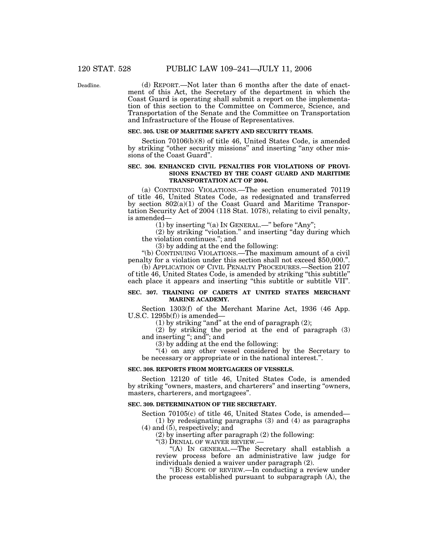Deadline.

(d) REPORT.—Not later than 6 months after the date of enactment of this Act, the Secretary of the department in which the Coast Guard is operating shall submit a report on the implementation of this section to the Committee on Commerce, Science, and Transportation of the Senate and the Committee on Transportation and Infrastructure of the House of Representatives.

## **SEC. 305. USE OF MARITIME SAFETY AND SECURITY TEAMS.**

Section 70106(b)(8) of title 46, United States Code, is amended by striking "other security missions" and inserting "any other missions of the Coast Guard''.

### **SEC. 306. ENHANCED CIVIL PENALTIES FOR VIOLATIONS OF PROVI-SIONS ENACTED BY THE COAST GUARD AND MARITIME TRANSPORTATION ACT OF 2004.**

(a) CONTINUING VIOLATIONS.—The section enumerated 70119 of title 46, United States Code, as redesignated and transferred by section 802(a)(1) of the Coast Guard and Maritime Transportation Security Act of 2004 (118 Stat. 1078), relating to civil penalty, is amended—

(1) by inserting "(a) In GENERAL.—" before "Any";

(2) by striking ''violation.'' and inserting ''day during which the violation continues.''; and

(3) by adding at the end the following:

''(b) CONTINUING VIOLATIONS.—The maximum amount of a civil penalty for a violation under this section shall not exceed \$50,000.''.

(b) APPLICATION OF CIVIL PENALTY PROCEDURES.—Section 2107 of title 46, United States Code, is amended by striking ''this subtitle'' each place it appears and inserting ''this subtitle or subtitle VII''.

#### **SEC. 307. TRAINING OF CADETS AT UNITED STATES MERCHANT MARINE ACADEMY.**

Section 1303(f) of the Merchant Marine Act, 1936 (46 App. U.S.C.  $1295b(f)$  is amended—

(1) by striking "and" at the end of paragraph  $(2)$ ;

(2) by striking the period at the end of paragraph (3) and inserting "; and"; and

(3) by adding at the end the following:

"(4) on any other vessel considered by the Secretary to be necessary or appropriate or in the national interest.''.

## **SEC. 308. REPORTS FROM MORTGAGEES OF VESSELS.**

Section 12120 of title 46, United States Code, is amended by striking ''owners, masters, and charterers'' and inserting ''owners, masters, charterers, and mortgagees''.

#### **SEC. 309. DETERMINATION OF THE SECRETARY.**

Section 70105(c) of title 46, United States Code, is amended— (1) by redesignating paragraphs (3) and (4) as paragraphs

(4) and (5), respectively; and

(2) by inserting after paragraph (2) the following:

"(3) DENIAL OF WAIVER REVIEW.-

''(A) IN GENERAL.—The Secretary shall establish a review process before an administrative law judge for individuals denied a waiver under paragraph (2).

''(B) SCOPE OF REVIEW.—In conducting a review under the process established pursuant to subparagraph (A), the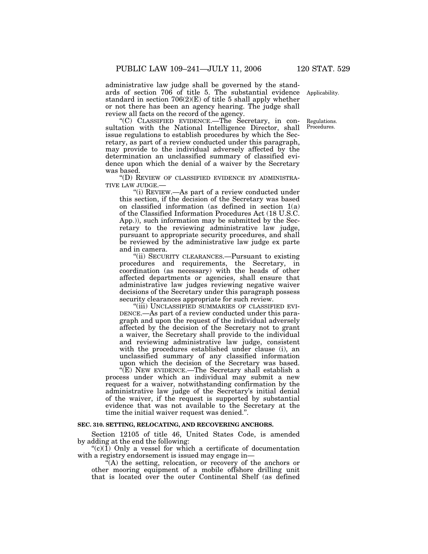administrative law judge shall be governed by the standards of section 706 of title 5. The substantial evidence Applicability. standard in section  $706(2)(E)$  of title 5 shall apply whether or not there has been an agency hearing. The judge shall review all facts on the record of the agency.

''(C) CLASSIFIED EVIDENCE.—The Secretary, in consultation with the National Intelligence Director, shall issue regulations to establish procedures by which the Secretary, as part of a review conducted under this paragraph, may provide to the individual adversely affected by the determination an unclassified summary of classified evidence upon which the denial of a waiver by the Secretary was based.

''(D) REVIEW OF CLASSIFIED EVIDENCE BY ADMINISTRA-TIVE LAW JUDGE.—

''(i) REVIEW.—As part of a review conducted under this section, if the decision of the Secretary was based on classified information (as defined in section 1(a) of the Classified Information Procedures Act (18 U.S.C. App.)), such information may be submitted by the Secretary to the reviewing administrative law judge, pursuant to appropriate security procedures, and shall be reviewed by the administrative law judge ex parte and in camera.

''(ii) SECURITY CLEARANCES.—Pursuant to existing procedures and requirements, the Secretary, in coordination (as necessary) with the heads of other affected departments or agencies, shall ensure that administrative law judges reviewing negative waiver decisions of the Secretary under this paragraph possess security clearances appropriate for such review.

''(iii) UNCLASSIFIED SUMMARIES OF CLASSIFIED EVI-DENCE.—As part of a review conducted under this paragraph and upon the request of the individual adversely affected by the decision of the Secretary not to grant a waiver, the Secretary shall provide to the individual and reviewing administrative law judge, consistent with the procedures established under clause (i), an unclassified summary of any classified information upon which the decision of the Secretary was based.

''(E) NEW EVIDENCE.—The Secretary shall establish a process under which an individual may submit a new request for a waiver, notwithstanding confirmation by the administrative law judge of the Secretary's initial denial of the waiver, if the request is supported by substantial evidence that was not available to the Secretary at the time the initial waiver request was denied.''.

#### **SEC. 310. SETTING, RELOCATING, AND RECOVERING ANCHORS.**

Section 12105 of title 46, United States Code, is amended by adding at the end the following:

 $\mathcal{L}(c)(1)$  Only a vessel for which a certificate of documentation with a registry endorsement is issued may engage in—

''(A) the setting, relocation, or recovery of the anchors or other mooring equipment of a mobile offshore drilling unit that is located over the outer Continental Shelf (as defined

Regulations. Procedures.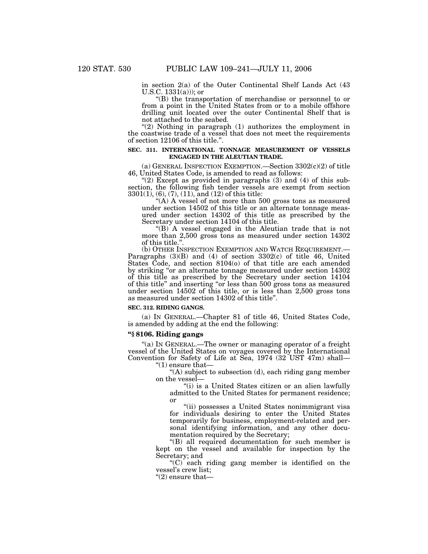in section 2(a) of the Outer Continental Shelf Lands Act (43 U.S.C.  $1331(a)$ ; or

''(B) the transportation of merchandise or personnel to or from a point in the United States from or to a mobile offshore drilling unit located over the outer Continental Shelf that is not attached to the seabed.

" $(2)$  Nothing in paragraph  $(1)$  authorizes the employment in the coastwise trade of a vessel that does not meet the requirements of section 12106 of this title.''.

### **SEC. 311. INTERNATIONAL TONNAGE MEASUREMENT OF VESSELS ENGAGED IN THE ALEUTIAN TRADE.**

(a) GENERAL INSPECTION EXEMPTION.—Section 3302(c)(2) of title 46, United States Code, is amended to read as follows:

" $(2)$  Except as provided in paragraphs  $(3)$  and  $(4)$  of this subsection, the following fish tender vessels are exempt from section 3301(1), (6), (7), (11), and (12) of this title:

"(A) A vessel of not more than 500 gross tons as measured under section 14502 of this title or an alternate tonnage measured under section 14302 of this title as prescribed by the Secretary under section 14104 of this title.

''(B) A vessel engaged in the Aleutian trade that is not more than 2,500 gross tons as measured under section 14302 of this title.".<br>(b) Other Inspection Exemption and Watch Requirement.-

Paragraphs  $(3)(B)$  and  $(4)$  of section  $3302(c)$  of title 46, United States Code, and section 8104(o) of that title are each amended by striking ''or an alternate tonnage measured under section 14302 of this title as prescribed by the Secretary under section 14104 of this title'' and inserting ''or less than 500 gross tons as measured under section 14502 of this title, or is less than 2,500 gross tons as measured under section 14302 of this title''.

#### **SEC. 312. RIDING GANGS.**

(a) IN GENERAL.—Chapter 81 of title 46, United States Code, is amended by adding at the end the following:

#### **''§ 8106. Riding gangs**

''(a) IN GENERAL.—The owner or managing operator of a freight vessel of the United States on voyages covered by the International Convention for Safety of Life at Sea, 1974 (32 UST 47m) shall—

''(1) ensure that—

''(A) subject to subsection (d), each riding gang member on the vessel—

''(i) is a United States citizen or an alien lawfully admitted to the United States for permanent residence; or

"(ii) possesses a United States nonimmigrant visa for individuals desiring to enter the United States temporarily for business, employment-related and personal identifying information, and any other documentation required by the Secretary;

''(B) all required documentation for such member is kept on the vessel and available for inspection by the Secretary; and

 $(C)$  each riding gang member is identified on the vessel's crew list;

 $"(2)$  ensure that—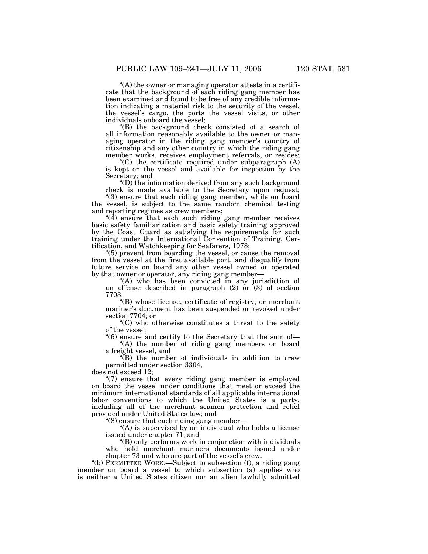''(A) the owner or managing operator attests in a certificate that the background of each riding gang member has been examined and found to be free of any credible information indicating a material risk to the security of the vessel, the vessel's cargo, the ports the vessel visits, or other individuals onboard the vessel;

''(B) the background check consisted of a search of all information reasonably available to the owner or managing operator in the riding gang member's country of citizenship and any other country in which the riding gang member works, receives employment referrals, or resides;

 $C^*(C)$  the certificate required under subparagraph  $(A)$ is kept on the vessel and available for inspection by the Secretary; and

''(D) the information derived from any such background check is made available to the Secretary upon request;

''(3) ensure that each riding gang member, while on board the vessel, is subject to the same random chemical testing and reporting regimes as crew members;

 $(4)$  ensure that each such riding gang member receives basic safety familiarization and basic safety training approved by the Coast Guard as satisfying the requirements for such training under the International Convention of Training, Certification, and Watchkeeping for Seafarers, 1978;

''(5) prevent from boarding the vessel, or cause the removal from the vessel at the first available port, and disqualify from future service on board any other vessel owned or operated by that owner or operator, any riding gang member—

''(A) who has been convicted in any jurisdiction of an offense described in paragraph (2) or (3) of section 7703;

 $H(B)$  whose license, certificate of registry, or merchant mariner's document has been suspended or revoked under section 7704; or

 $(C)$  who otherwise constitutes a threat to the safety of the vessel;

''(6) ensure and certify to the Secretary that the sum of— ''(A) the number of riding gang members on board

a freight vessel, and

''(B) the number of individuals in addition to crew permitted under section 3304,

does not exceed 12;

"(7) ensure that every riding gang member is employed on board the vessel under conditions that meet or exceed the minimum international standards of all applicable international labor conventions to which the United States is a party, including all of the merchant seamen protection and relief provided under United States law; and

''(8) ensure that each riding gang member—

"(A) is supervised by an individual who holds a license issued under chapter 71; and

''(B) only performs work in conjunction with individuals who hold merchant mariners documents issued under chapter 73 and who are part of the vessel's crew.

''(b) PERMITTED WORK.—Subject to subsection (f), a riding gang member on board a vessel to which subsection (a) applies who is neither a United States citizen nor an alien lawfully admitted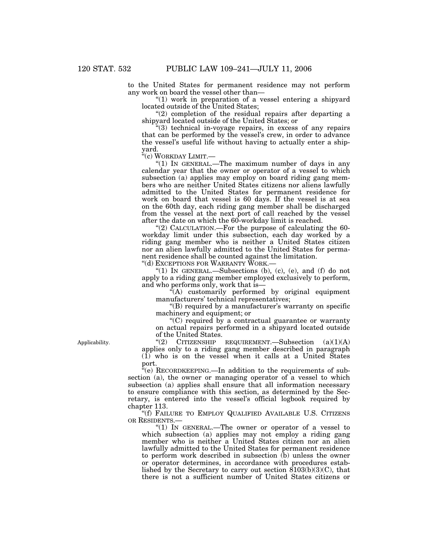to the United States for permanent residence may not perform any work on board the vessel other than—

"(1) work in preparation of a vessel entering a shipyard located outside of the United States;

 $''(2)$  completion of the residual repairs after departing a shipyard located outside of the United States; or

''(3) technical in-voyage repairs, in excess of any repairs that can be performed by the vessel's crew, in order to advance the vessel's useful life without having to actually enter a shipyard.

''(c) WORKDAY LIMIT.—

" $(1)$  In GENERAL.—The maximum number of days in any calendar year that the owner or operator of a vessel to which subsection (a) applies may employ on board riding gang members who are neither United States citizens nor aliens lawfully admitted to the United States for permanent residence for work on board that vessel is 60 days. If the vessel is at sea on the 60th day, each riding gang member shall be discharged from the vessel at the next port of call reached by the vessel after the date on which the 60-workday limit is reached.

"(2) CALCULATION.—For the purpose of calculating the 60workday limit under this subsection, each day worked by a riding gang member who is neither a United States citizen nor an alien lawfully admitted to the United States for permanent residence shall be counted against the limitation.

"(d) EXCEPTIONS FOR WARRANTY WORK.-

" $(1)$  In GENERAL.—Subsections  $(b)$ ,  $(c)$ ,  $(e)$ , and  $(f)$  do not apply to a riding gang member employed exclusively to perform, and who performs only, work that is—

 $f(A)$  customarily performed by original equipment manufacturers' technical representatives;

"(B) required by a manufacturer's warranty on specific machinery and equipment; or

''(C) required by a contractual guarantee or warranty on actual repairs performed in a shipyard located outside of the United States.<br>"(2) CITIZENSHIP

Applicability.

 $CITIZENSHIP$  REQUIREMENT.—Subsection  $(a)(1)(A)$ applies only to a riding gang member described in paragraph (1) who is on the vessel when it calls at a United States port.

''(e) RECORDKEEPING.—In addition to the requirements of subsection (a), the owner or managing operator of a vessel to which subsection (a) applies shall ensure that all information necessary to ensure compliance with this section, as determined by the Secretary, is entered into the vessel's official logbook required by chapter 113.

''(f) FAILURE TO EMPLOY QUALIFIED AVAILABLE U.S. CITIZENS OR RESIDENTS.—

" $(1)$  In GENERAL.—The owner or operator of a vessel to which subsection (a) applies may not employ a riding gang member who is neither a United States citizen nor an alien lawfully admitted to the United States for permanent residence to perform work described in subsection (b) unless the owner or operator determines, in accordance with procedures established by the Secretary to carry out section  $\delta 103(b)(3)(C)$ , that there is not a sufficient number of United States citizens or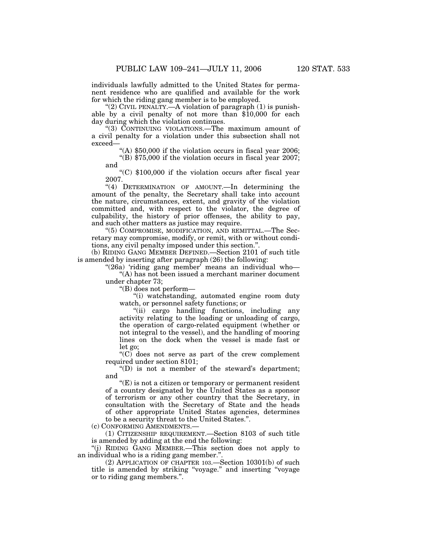individuals lawfully admitted to the United States for permanent residence who are qualified and available for the work for which the riding gang member is to be employed.

"(2) CIVIL PENALTY.—A violation of paragraph  $(1)$  is punishable by a civil penalty of not more than \$10,000 for each day during which the violation continues.

''(3) CONTINUING VIOLATIONS.—The maximum amount of a civil penalty for a violation under this subsection shall not exceed—

"(A) \$50,000 if the violation occurs in fiscal year 2006;

"(B)  $$75,000$  if the violation occurs in fiscal year 2007; and

''(C) \$100,000 if the violation occurs after fiscal year 2007.

"(4) DETERMINATION OF AMOUNT.—In determining the amount of the penalty, the Secretary shall take into account the nature, circumstances, extent, and gravity of the violation committed and, with respect to the violator, the degree of culpability, the history of prior offenses, the ability to pay, and such other matters as justice may require.

''(5) COMPROMISE, MODIFICATION, AND REMITTAL.—The Secretary may compromise, modify, or remit, with or without conditions, any civil penalty imposed under this section.''.

(b) RIDING GANG MEMBER DEFINED.—Section 2101 of such title is amended by inserting after paragraph (26) the following:

" $(26a)$  'riding gang member' means an individual who-''(A) has not been issued a merchant mariner document under chapter 73;

''(B) does not perform—

''(i) watchstanding, automated engine room duty watch, or personnel safety functions; or

''(ii) cargo handling functions, including any activity relating to the loading or unloading of cargo, the operation of cargo-related equipment (whether or not integral to the vessel), and the handling of mooring lines on the dock when the vessel is made fast or let go;

" $(C)$  does not serve as part of the crew complement required under section 8101;

''(D) is not a member of the steward's department; and

 $(C)$  is not a citizen or temporary or permanent resident of a country designated by the United States as a sponsor of terrorism or any other country that the Secretary, in consultation with the Secretary of State and the heads of other appropriate United States agencies, determines to be a security threat to the United States.''.

(c) CONFORMING AMENDMENTS.—

(1) CITIZENSHIP REQUIREMENT.—Section 8103 of such title is amended by adding at the end the following:

''(j) RIDING GANG MEMBER.—This section does not apply to an individual who is a riding gang member.''.

(2) APPLICATION OF CHAPTER 103.—Section 10301(b) of such title is amended by striking ''voyage.'' and inserting ''voyage or to riding gang members.''.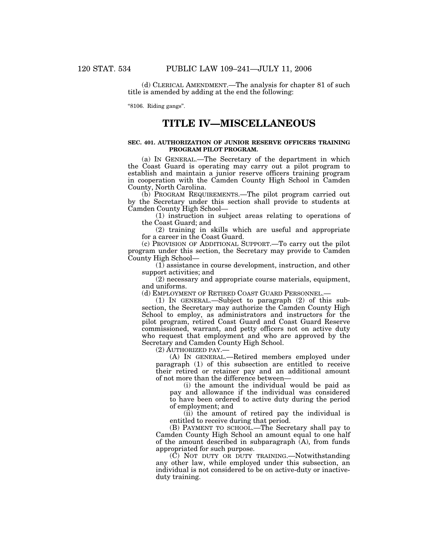(d) CLERICAL AMENDMENT.—The analysis for chapter 81 of such title is amended by adding at the end the following:

''8106. Riding gangs''.

## **TITLE IV—MISCELLANEOUS**

#### **SEC. 401. AUTHORIZATION OF JUNIOR RESERVE OFFICERS TRAINING PROGRAM PILOT PROGRAM.**

(a) IN GENERAL.—The Secretary of the department in which the Coast Guard is operating may carry out a pilot program to establish and maintain a junior reserve officers training program in cooperation with the Camden County High School in Camden County, North Carolina.

(b) PROGRAM REQUIREMENTS.—The pilot program carried out by the Secretary under this section shall provide to students at Camden County High School—

(1) instruction in subject areas relating to operations of the Coast Guard; and

(2) training in skills which are useful and appropriate for a career in the Coast Guard.

(c) PROVISION OF ADDITIONAL SUPPORT.—To carry out the pilot program under this section, the Secretary may provide to Camden County High School—

(1) assistance in course development, instruction, and other support activities; and

(2) necessary and appropriate course materials, equipment, and uniforms.

(d) EMPLOYMENT OF RETIRED COAST GUARD PERSONNEL.—

(1) IN GENERAL.—Subject to paragraph (2) of this subsection, the Secretary may authorize the Camden County High School to employ, as administrators and instructors for the pilot program, retired Coast Guard and Coast Guard Reserve commissioned, warrant, and petty officers not on active duty who request that employment and who are approved by the Secretary and Camden County High School.

(2) AUTHORIZED PAY.—

(A) IN GENERAL.—Retired members employed under paragraph (1) of this subsection are entitled to receive their retired or retainer pay and an additional amount of not more than the difference between—

(i) the amount the individual would be paid as pay and allowance if the individual was considered to have been ordered to active duty during the period of employment; and

(ii) the amount of retired pay the individual is entitled to receive during that period.

(B) PAYMENT TO SCHOOL.—The Secretary shall pay to Camden County High School an amount equal to one half of the amount described in subparagraph  $(A)$ , from funds appropriated for such purpose.

(C) NOT DUTY OR DUTY TRAINING.—Notwithstanding any other law, while employed under this subsection, an individual is not considered to be on active-duty or inactiveduty training.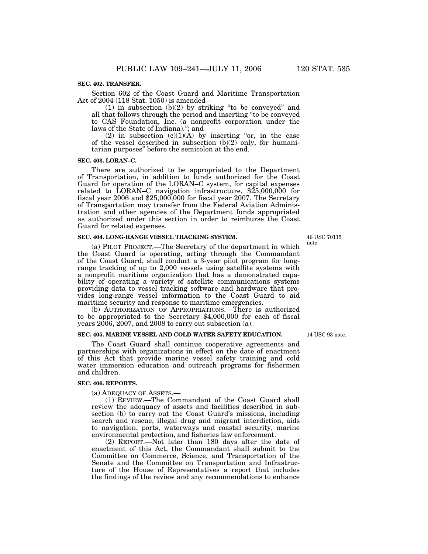### **SEC. 402. TRANSFER.**

Section 602 of the Coast Guard and Maritime Transportation Act of 2004 (118 Stat. 1050) is amended—

 $(1)$  in subsection  $(b)(2)$  by striking "to be conveyed" and all that follows through the period and inserting ''to be conveyed to CAS Foundation, Inc. (a nonprofit corporation under the laws of the State of Indiana).''; and

(2) in subsection  $(c)(1)(A)$  by inserting "or, in the case of the vessel described in subsection  $(b)(2)$  only, for humanitarian purposes'' before the semicolon at the end.

#### **SEC. 403. LORAN–C.**

There are authorized to be appropriated to the Department of Transportation, in addition to funds authorized for the Coast Guard for operation of the LORAN–C system, for capital expenses related to LORAN–C navigation infrastructure, \$25,000,000 for fiscal year 2006 and \$25,000,000 for fiscal year 2007. The Secretary of Transportation may transfer from the Federal Aviation Administration and other agencies of the Department funds appropriated as authorized under this section in order to reimburse the Coast Guard for related expenses.

#### **SEC. 404. LONG-RANGE VESSEL TRACKING SYSTEM.**

(a) PILOT PROJECT.—The Secretary of the department in which the Coast Guard is operating, acting through the Commandant of the Coast Guard, shall conduct a 3-year pilot program for longrange tracking of up to 2,000 vessels using satellite systems with a nonprofit maritime organization that has a demonstrated capability of operating a variety of satellite communications systems providing data to vessel tracking software and hardware that provides long-range vessel information to the Coast Guard to aid maritime security and response to maritime emergencies.

(b) AUTHORIZATION OF APPROPRIATIONS.—There is authorized to be appropriated to the Secretary \$4,000,000 for each of fiscal years 2006, 2007, and 2008 to carry out subsection (a).

## **SEC. 405. MARINE VESSEL AND COLD WATER SAFETY EDUCATION.**

The Coast Guard shall continue cooperative agreements and partnerships with organizations in effect on the date of enactment of this Act that provide marine vessel safety training and cold water immersion education and outreach programs for fishermen and children.

#### **SEC. 406. REPORTS.**

(a) ADEQUACY OF ASSETS.—

(1) REVIEW.—The Commandant of the Coast Guard shall review the adequacy of assets and facilities described in subsection (b) to carry out the Coast Guard's missions, including search and rescue, illegal drug and migrant interdiction, aids to navigation, ports, waterways and coastal security, marine environmental protection, and fisheries law enforcement.

(2) REPORT.—Not later than 180 days after the date of enactment of this Act, the Commandant shall submit to the Committee on Commerce, Science, and Transportation of the Senate and the Committee on Transportation and Infrastructure of the House of Representatives a report that includes the findings of the review and any recommendations to enhance

46 USC 70115 note.

14 USC 93 note.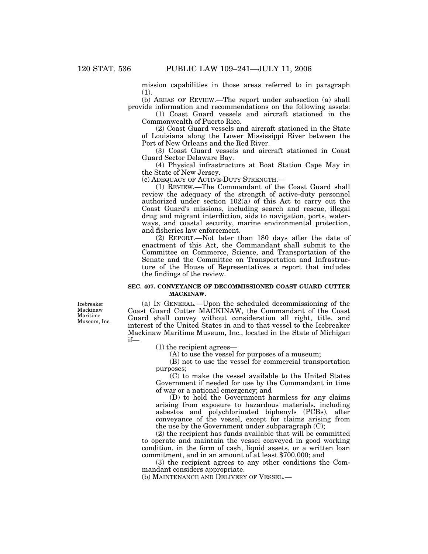mission capabilities in those areas referred to in paragraph (1).

(b) AREAS OF REVIEW.—The report under subsection (a) shall provide information and recommendations on the following assets:

(1) Coast Guard vessels and aircraft stationed in the Commonwealth of Puerto Rico.

(2) Coast Guard vessels and aircraft stationed in the State of Louisiana along the Lower Mississippi River between the Port of New Orleans and the Red River.

(3) Coast Guard vessels and aircraft stationed in Coast Guard Sector Delaware Bay.

(4) Physical infrastructure at Boat Station Cape May in the State of New Jersey.

(c) ADEQUACY OF ACTIVE-DUTY STRENGTH.—

(1) REVIEW.—The Commandant of the Coast Guard shall review the adequacy of the strength of active-duty personnel authorized under section 102(a) of this Act to carry out the Coast Guard's missions, including search and rescue, illegal drug and migrant interdiction, aids to navigation, ports, waterways, and coastal security, marine environmental protection, and fisheries law enforcement.

(2) REPORT.—Not later than 180 days after the date of enactment of this Act, the Commandant shall submit to the Committee on Commerce, Science, and Transportation of the Senate and the Committee on Transportation and Infrastructure of the House of Representatives a report that includes the findings of the review.

### **SEC. 407. CONVEYANCE OF DECOMMISSIONED COAST GUARD CUTTER MACKINAW.**

Icebreaker Mackinaw Maritime Museum, Inc.

(a) IN GENERAL.—Upon the scheduled decommissioning of the Coast Guard Cutter MACKINAW, the Commandant of the Coast Guard shall convey without consideration all right, title, and interest of the United States in and to that vessel to the Icebreaker Mackinaw Maritime Museum, Inc., located in the State of Michigan if—

(1) the recipient agrees—

(A) to use the vessel for purposes of a museum;

(B) not to use the vessel for commercial transportation purposes;

(C) to make the vessel available to the United States Government if needed for use by the Commandant in time of war or a national emergency; and

(D) to hold the Government harmless for any claims arising from exposure to hazardous materials, including asbestos and polychlorinated biphenyls (PCBs), after conveyance of the vessel, except for claims arising from the use by the Government under subparagraph (C);

(2) the recipient has funds available that will be committed to operate and maintain the vessel conveyed in good working condition, in the form of cash, liquid assets, or a written loan commitment, and in an amount of at least \$700,000; and

(3) the recipient agrees to any other conditions the Commandant considers appropriate.

(b) MAINTENANCE AND DELIVERY OF VESSEL.—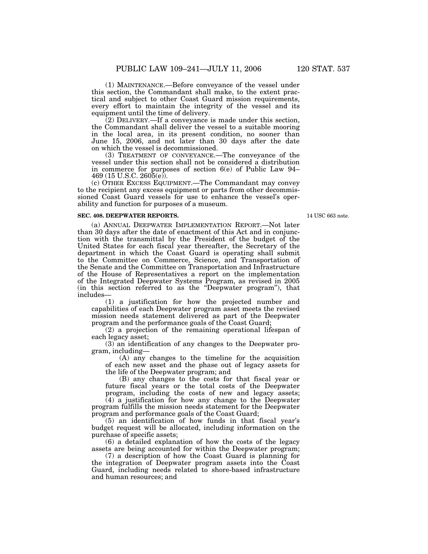(1) MAINTENANCE.—Before conveyance of the vessel under this section, the Commandant shall make, to the extent practical and subject to other Coast Guard mission requirements,

every effort to maintain the integrity of the vessel and its equipment until the time of delivery.  $(2)$  DELIVERY.—If a conveyance is made under this section, the Commandant shall deliver the vessel to a suitable mooring in the local area, in its present condition, no sooner than June 15, 2006, and not later than 30 days after the date

on which the vessel is decommissioned. (3) TREATMENT OF CONVEYANCE.—The conveyance of the vessel under this section shall not be considered a distribution in commerce for purposes of section 6(e) of Public Law 94–  $469$  (15 U.S.C. 2605(e)).

(c) OTHER EXCESS EQUIPMENT.—The Commandant may convey to the recipient any excess equipment or parts from other decommissioned Coast Guard vessels for use to enhance the vessel's operability and function for purposes of a museum.

## **SEC. 408. DEEPWATER REPORTS.**

14 USC 663 note.

(a) ANNUAL DEEPWATER IMPLEMENTATION REPORT.—Not later than 30 days after the date of enactment of this Act and in conjunction with the transmittal by the President of the budget of the United States for each fiscal year thereafter, the Secretary of the department in which the Coast Guard is operating shall submit to the Committee on Commerce, Science, and Transportation of the Senate and the Committee on Transportation and Infrastructure of the House of Representatives a report on the implementation of the Integrated Deepwater Systems Program, as revised in 2005 (in this section referred to as the ''Deepwater program''), that includes—

(1) a justification for how the projected number and capabilities of each Deepwater program asset meets the revised mission needs statement delivered as part of the Deepwater program and the performance goals of the Coast Guard;

(2) a projection of the remaining operational lifespan of each legacy asset;

(3) an identification of any changes to the Deepwater program, including—

(A) any changes to the timeline for the acquisition of each new asset and the phase out of legacy assets for the life of the Deepwater program; and

(B) any changes to the costs for that fiscal year or future fiscal years or the total costs of the Deepwater

program, including the costs of new and legacy assets; (4) a justification for how any change to the Deepwater program fulfills the mission needs statement for the Deepwater

program and performance goals of the Coast Guard; (5) an identification of how funds in that fiscal year's budget request will be allocated, including information on the purchase of specific assets;

(6) a detailed explanation of how the costs of the legacy assets are being accounted for within the Deepwater program;

(7) a description of how the Coast Guard is planning for the integration of Deepwater program assets into the Coast Guard, including needs related to shore-based infrastructure and human resources; and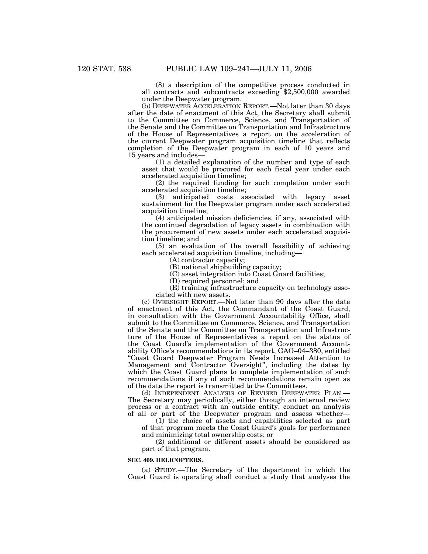(8) a description of the competitive process conducted in all contracts and subcontracts exceeding \$2,500,000 awarded under the Deepwater program.

(b) DEEPWATER ACCELERATION REPORT.—Not later than 30 days after the date of enactment of this Act, the Secretary shall submit to the Committee on Commerce, Science, and Transportation of the Senate and the Committee on Transportation and Infrastructure of the House of Representatives a report on the acceleration of the current Deepwater program acquisition timeline that reflects completion of the Deepwater program in each of 10 years and 15 years and includes—

(1) a detailed explanation of the number and type of each asset that would be procured for each fiscal year under each accelerated acquisition timeline;

(2) the required funding for such completion under each accelerated acquisition timeline;

(3) anticipated costs associated with legacy asset sustainment for the Deepwater program under each accelerated acquisition timeline;

(4) anticipated mission deficiencies, if any, associated with the continued degradation of legacy assets in combination with the procurement of new assets under each accelerated acquisition timeline; and

(5) an evaluation of the overall feasibility of achieving each accelerated acquisition timeline, including—

(A) contractor capacity;

(B) national shipbuilding capacity;

(C) asset integration into Coast Guard facilities;

(D) required personnel; and

(E) training infrastructure capacity on technology associated with new assets.

(c) OVERSIGHT REPORT.—Not later than 90 days after the date of enactment of this Act, the Commandant of the Coast Guard, in consultation with the Government Accountability Office, shall submit to the Committee on Commerce, Science, and Transportation of the Senate and the Committee on Transportation and Infrastructure of the House of Representatives a report on the status of the Coast Guard's implementation of the Government Accountability Office's recommendations in its report, GAO–04–380, entitled ''Coast Guard Deepwater Program Needs Increased Attention to Management and Contractor Oversight'', including the dates by which the Coast Guard plans to complete implementation of such recommendations if any of such recommendations remain open as of the date the report is transmitted to the Committees.

(d) INDEPENDENT ANALYSIS OF REVISED DEEPWATER PLAN.— The Secretary may periodically, either through an internal review process or a contract with an outside entity, conduct an analysis of all or part of the Deepwater program and assess whether—

(1) the choice of assets and capabilities selected as part of that program meets the Coast Guard's goals for performance and minimizing total ownership costs; or

(2) additional or different assets should be considered as part of that program.

#### **SEC. 409. HELICOPTERS.**

(a) STUDY.—The Secretary of the department in which the Coast Guard is operating shall conduct a study that analyses the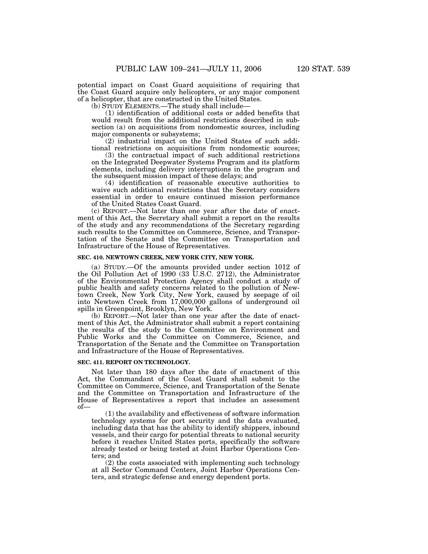potential impact on Coast Guard acquisitions of requiring that the Coast Guard acquire only helicopters, or any major component of a helicopter, that are constructed in the United States.

(b) STUDY ELEMENTS.—The study shall include—

(1) identification of additional costs or added benefits that would result from the additional restrictions described in subsection (a) on acquisitions from nondomestic sources, including major components or subsystems;

(2) industrial impact on the United States of such additional restrictions on acquisitions from nondomestic sources;

(3) the contractual impact of such additional restrictions on the Integrated Deepwater Systems Program and its platform elements, including delivery interruptions in the program and the subsequent mission impact of these delays; and

(4) identification of reasonable executive authorities to waive such additional restrictions that the Secretary considers essential in order to ensure continued mission performance of the United States Coast Guard.

(c) REPORT.—Not later than one year after the date of enactment of this Act, the Secretary shall submit a report on the results of the study and any recommendations of the Secretary regarding such results to the Committee on Commerce, Science, and Transportation of the Senate and the Committee on Transportation and Infrastructure of the House of Representatives.

#### **SEC. 410. NEWTOWN CREEK, NEW YORK CITY, NEW YORK.**

(a) STUDY.—Of the amounts provided under section 1012 of the Oil Pollution Act of 1990 (33 U.S.C. 2712), the Administrator of the Environmental Protection Agency shall conduct a study of public health and safety concerns related to the pollution of Newtown Creek, New York City, New York, caused by seepage of oil into Newtown Creek from 17,000,000 gallons of underground oil spills in Greenpoint, Brooklyn, New York.

(b) REPORT.—Not later than one year after the date of enactment of this Act, the Administrator shall submit a report containing the results of the study to the Committee on Environment and Public Works and the Committee on Commerce, Science, and Transportation of the Senate and the Committee on Transportation and Infrastructure of the House of Representatives.

#### **SEC. 411. REPORT ON TECHNOLOGY.**

Not later than 180 days after the date of enactment of this Act, the Commandant of the Coast Guard shall submit to the Committee on Commerce, Science, and Transportation of the Senate and the Committee on Transportation and Infrastructure of the House of Representatives a report that includes an assessment of—

(1) the availability and effectiveness of software information technology systems for port security and the data evaluated, including data that has the ability to identify shippers, inbound vessels, and their cargo for potential threats to national security before it reaches United States ports, specifically the software already tested or being tested at Joint Harbor Operations Centers; and

(2) the costs associated with implementing such technology at all Sector Command Centers, Joint Harbor Operations Centers, and strategic defense and energy dependent ports.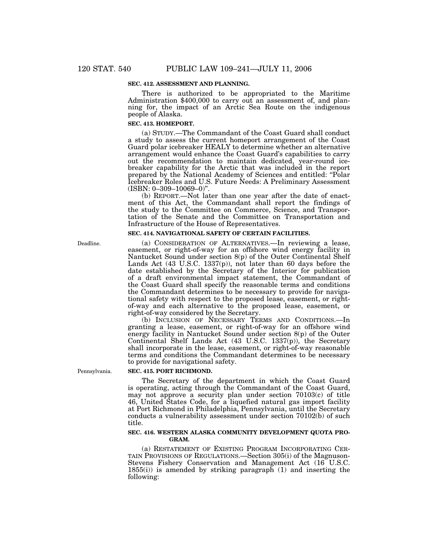#### **SEC. 412. ASSESSMENT AND PLANNING.**

There is authorized to be appropriated to the Maritime Administration \$400,000 to carry out an assessment of, and planning for, the impact of an Arctic Sea Route on the indigenous people of Alaska.

#### **SEC. 413. HOMEPORT.**

(a) STUDY.—The Commandant of the Coast Guard shall conduct a study to assess the current homeport arrangement of the Coast Guard polar icebreaker HEALY to determine whether an alternative arrangement would enhance the Coast Guard's capabilities to carry out the recommendation to maintain dedicated, year-round icebreaker capability for the Arctic that was included in the report prepared by the National Academy of Sciences and entitled: ''Polar Icebreaker Roles and U.S. Future Needs: A Preliminary Assessment  $(ISBN: 0-309-10069-0)$ ".

(b) REPORT.—Not later than one year after the date of enactment of this Act, the Commandant shall report the findings of the study to the Committee on Commerce, Science, and Transportation of the Senate and the Committee on Transportation and Infrastructure of the House of Representatives.

### **SEC. 414. NAVIGATIONAL SAFETY OF CERTAIN FACILITIES.**

(a) CONSIDERATION OF ALTERNATIVES.—In reviewing a lease, easement, or right-of-way for an offshore wind energy facility in Nantucket Sound under section 8(p) of the Outer Continental Shelf Lands Act  $(43 \text{ U.S.C. } 1337(p))$ , not later than 60 days before the date established by the Secretary of the Interior for publication of a draft environmental impact statement, the Commandant of the Coast Guard shall specify the reasonable terms and conditions the Commandant determines to be necessary to provide for navigational safety with respect to the proposed lease, easement, or rightof-way and each alternative to the proposed lease, easement, or right-of-way considered by the Secretary.

(b) INCLUSION OF NECESSARY TERMS AND CONDITIONS.—In granting a lease, easement, or right-of-way for an offshore wind energy facility in Nantucket Sound under section 8(p) of the Outer Continental Shelf Lands Act (43 U.S.C. 1337(p)), the Secretary shall incorporate in the lease, easement, or right-of-way reasonable terms and conditions the Commandant determines to be necessary to provide for navigational safety.

Pennsylvania.

Deadline.

#### **SEC. 415. PORT RICHMOND.**

The Secretary of the department in which the Coast Guard is operating, acting through the Commandant of the Coast Guard, may not approve a security plan under section 70103(c) of title 46, United States Code, for a liquefied natural gas import facility at Port Richmond in Philadelphia, Pennsylvania, until the Secretary conducts a vulnerability assessment under section 70102(b) of such title.

#### **SEC. 416. WESTERN ALASKA COMMUNITY DEVELOPMENT QUOTA PRO-GRAM.**

(a) RESTATEMENT OF EXISTING PROGRAM INCORPORATING CER- TAIN PROVISIONS OF REGULATIONS.—Section 305(i) of the Magnuson-Stevens Fishery Conservation and Management Act (16 U.S.C. 1855(i)) is amended by striking paragraph (1) and inserting the following: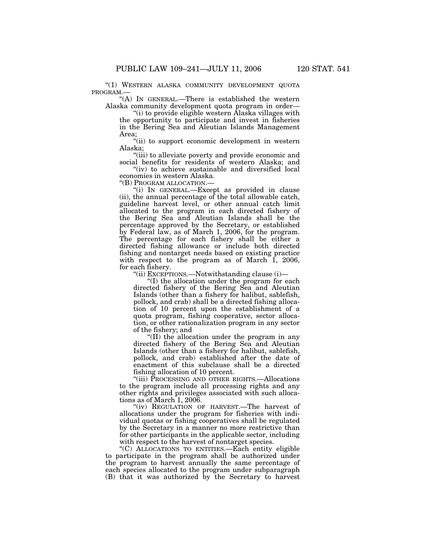''(1) WESTERN ALASKA COMMUNITY DEVELOPMENT QUOTA PROGRAM.—

"(A) In GENERAL.—There is established the western Alaska community development quota program in order—

''(i) to provide eligible western Alaska villages with the opportunity to participate and invest in fisheries in the Bering Sea and Aleutian Islands Management Area;

''(ii) to support economic development in western Alaska;

''(iii) to alleviate poverty and provide economic and social benefits for residents of western Alaska; and

"(iv) to achieve sustainable and diversified local economies in western Alaska.<br>"(B) PROGRAM ALLOCATION.—

"(i) IN GENERAL.—Except as provided in clause (ii), the annual percentage of the total allowable catch, guideline harvest level, or other annual catch limit allocated to the program in each directed fishery of the Bering Sea and Aleutian Islands shall be the percentage approved by the Secretary, or established by Federal law, as of March 1, 2006, for the program. The percentage for each fishery shall be either a directed fishing allowance or include both directed fishing and nontarget needs based on existing practice with respect to the program as of March 1, 2006, for each fishery.

''(ii) EXCEPTIONS.—Notwithstanding clause (i)—

''(I) the allocation under the program for each directed fishery of the Bering Sea and Aleutian Islands (other than a fishery for halibut, sablefish, pollock, and crab) shall be a directed fishing allocation of 10 percent upon the establishment of a quota program, fishing cooperative, sector allocation, or other rationalization program in any sector of the fishery; and

''(II) the allocation under the program in any directed fishery of the Bering Sea and Aleutian Islands (other than a fishery for halibut, sablefish, pollock, and crab) established after the date of enactment of this subclause shall be a directed fishing allocation of 10 percent.

''(iii) PROCESSING AND OTHER RIGHTS.—Allocations to the program include all processing rights and any other rights and privileges associated with such allocations as of March 1, 2006.

"(iv) REGULATION OF HARVEST.—The harvest of allocations under the program for fisheries with individual quotas or fishing cooperatives shall be regulated by the Secretary in a manner no more restrictive than for other participants in the applicable sector, including with respect to the harvest of nontarget species.

''(C) ALLOCATIONS TO ENTITIES.—Each entity eligible to participate in the program shall be authorized under the program to harvest annually the same percentage of each species allocated to the program under subparagraph (B) that it was authorized by the Secretary to harvest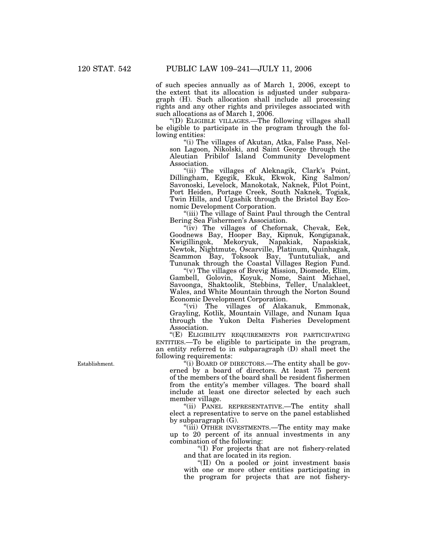of such species annually as of March 1, 2006, except to the extent that its allocation is adjusted under subparagraph (H). Such allocation shall include all processing rights and any other rights and privileges associated with such allocations as of March 1, 2006.

''(D) ELIGIBLE VILLAGES.—The following villages shall be eligible to participate in the program through the following entities:

''(i) The villages of Akutan, Atka, False Pass, Nelson Lagoon, Nikolski, and Saint George through the Aleutian Pribilof Island Community Development Association.

"(ii) The villages of Aleknagik, Clark's Point, Dillingham, Egegik, Ekuk, Ekwok, King Salmon/ Savonoski, Levelock, Manokotak, Naknek, Pilot Point, Port Heiden, Portage Creek, South Naknek, Togiak, Twin Hills, and Ugashik through the Bristol Bay Economic Development Corporation.

"(iii) The village of Saint Paul through the Central Bering Sea Fishermen's Association.

"(iv) The villages of Chefornak, Chevak, Eek, Goodnews Bay, Hooper Bay, Kipnuk, Kongiganak, Kwigillingok, Mekoryuk, Napakiak, Napaskiak, Newtok, Nightmute, Oscarville, Platinum, Quinhagak, Scammon Bay, Toksook Bay, Tuntutuliak, and Tununak through the Coastal Villages Region Fund.

"(v) The villages of Brevig Mission, Diomede, Elim, Gambell, Golovin, Koyuk, Nome, Saint Michael, Savoonga, Shaktoolik, Stebbins, Teller, Unalakleet, Wales, and White Mountain through the Norton Sound Economic Development Corporation.

''(vi) The villages of Alakanuk, Emmonak, Grayling, Kotlik, Mountain Village, and Nunam Iqua through the Yukon Delta Fisheries Development Association.

"(E) ELIGIBILITY REQUIREMENTS FOR PARTICIPATING ENTITIES.—To be eligible to participate in the program, an entity referred to in subparagraph (D) shall meet the following requirements:

''(i) BOARD OF DIRECTORS.—The entity shall be governed by a board of directors. At least 75 percent of the members of the board shall be resident fishermen from the entity's member villages. The board shall include at least one director selected by each such member village.

''(ii) PANEL REPRESENTATIVE.—The entity shall elect a representative to serve on the panel established by subparagraph (G).

''(iii) OTHER INVESTMENTS.—The entity may make up to 20 percent of its annual investments in any combination of the following:

''(I) For projects that are not fishery-related and that are located in its region.

''(II) On a pooled or joint investment basis with one or more other entities participating in the program for projects that are not fishery-

Establishment.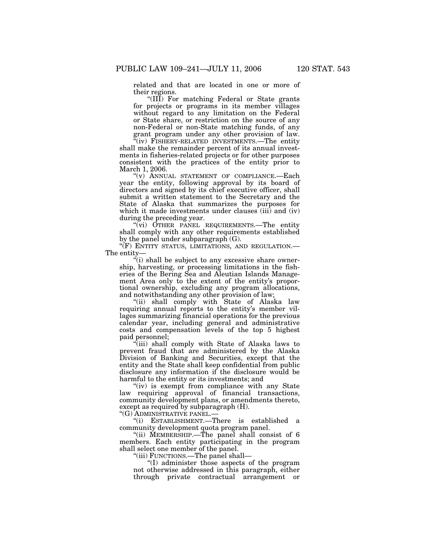related and that are located in one or more of their regions.

"(III) For matching Federal or State grants for projects or programs in its member villages without regard to any limitation on the Federal or State share, or restriction on the source of any non-Federal or non-State matching funds, of any grant program under any other provision of law.

"(iv) FISHERY-RELATED INVESTMENTS.—The entity shall make the remainder percent of its annual investments in fisheries-related projects or for other purposes consistent with the practices of the entity prior to March 1, 2006.

"(v) ANNUAL STATEMENT OF COMPLIANCE.—Each year the entity, following approval by its board of directors and signed by its chief executive officer, shall submit a written statement to the Secretary and the State of Alaska that summarizes the purposes for which it made investments under clauses (iii) and (iv) during the preceding year.

"(vi) OTHER PANEL REQUIREMENTS.—The entity shall comply with any other requirements established by the panel under subparagraph (G).

''(F) ENTITY STATUS, LIMITATIONS, AND REGULATION.— The entity—

''(i) shall be subject to any excessive share ownership, harvesting, or processing limitations in the fisheries of the Bering Sea and Aleutian Islands Management Area only to the extent of the entity's proportional ownership, excluding any program allocations, and notwithstanding any other provision of law;

"(ii) shall comply with State of Alaska law requiring annual reports to the entity's member villages summarizing financial operations for the previous calendar year, including general and administrative costs and compensation levels of the top 5 highest paid personnel;

(iii) shall comply with State of Alaska laws to prevent fraud that are administered by the Alaska Division of Banking and Securities, except that the entity and the State shall keep confidential from public disclosure any information if the disclosure would be harmful to the entity or its investments; and

"(iv) is exempt from compliance with any State law requiring approval of financial transactions, community development plans, or amendments thereto, except as required by subparagraph (H).

''(G) ADMINISTRATIVE PANEL.—

''(i) ESTABLISHMENT.—There is established a community development quota program panel.

''(ii) MEMBERSHIP.—The panel shall consist of 6 members. Each entity participating in the program shall select one member of the panel.

''(iii) FUNCTIONS.—The panel shall—

''(I) administer those aspects of the program not otherwise addressed in this paragraph, either through private contractual arrangement or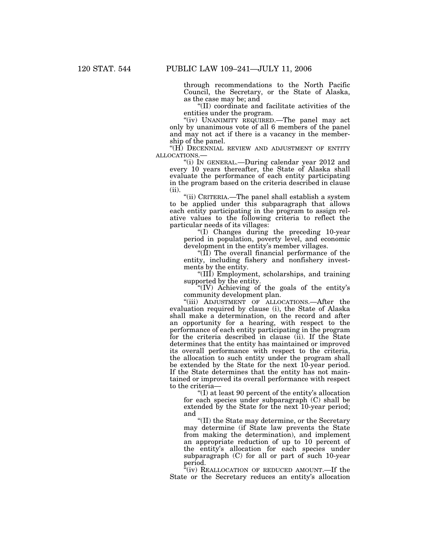through recommendations to the North Pacific Council, the Secretary, or the State of Alaska, as the case may be; and

''(II) coordinate and facilitate activities of the entities under the program.

"(iv) UNANIMITY REQUIRED.—The panel may act only by unanimous vote of all 6 members of the panel and may not act if there is a vacancy in the membership of the panel.

"(H) DECENNIAL REVIEW AND ADJUSTMENT OF ENTITY<br>ALLOCATIONS.—

"(i) IN GENERAL.—During calendar year 2012 and every 10 years thereafter, the State of Alaska shall evaluate the performance of each entity participating in the program based on the criteria described in clause (ii).

''(ii) CRITERIA.—The panel shall establish a system to be applied under this subparagraph that allows each entity participating in the program to assign relative values to the following criteria to reflect the particular needs of its villages:

''(I) Changes during the preceding 10-year period in population, poverty level, and economic development in the entity's member villages.

"(II) The overall financial performance of the entity, including fishery and nonfishery investments by the entity.

''(III) Employment, scholarships, and training supported by the entity.

''(IV) Achieving of the goals of the entity's community development plan.

''(iii) ADJUSTMENT OF ALLOCATIONS.—After the evaluation required by clause (i), the State of Alaska shall make a determination, on the record and after an opportunity for a hearing, with respect to the performance of each entity participating in the program for the criteria described in clause (ii). If the State determines that the entity has maintained or improved its overall performance with respect to the criteria, the allocation to such entity under the program shall be extended by the State for the next 10-year period. If the State determines that the entity has not maintained or improved its overall performance with respect to the criteria—

''(I) at least 90 percent of the entity's allocation for each species under subparagraph (C) shall be extended by the State for the next 10-year period; and

''(II) the State may determine, or the Secretary may determine (if State law prevents the State from making the determination), and implement an appropriate reduction of up to 10 percent of the entity's allocation for each species under subparagraph (C) for all or part of such 10-year period.

 $f(iv)$  REALLOCATION OF REDUCED AMOUNT.—If the State or the Secretary reduces an entity's allocation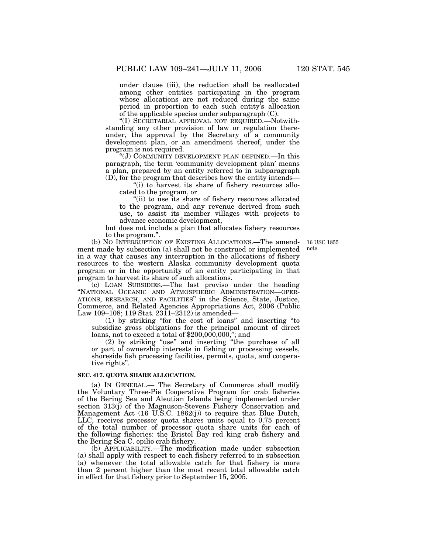under clause (iii), the reduction shall be reallocated among other entities participating in the program whose allocations are not reduced during the same period in proportion to each such entity's allocation of the applicable species under subparagraph (C).

''(I) SECRETARIAL APPROVAL NOT REQUIRED.—Notwithstanding any other provision of law or regulation thereunder, the approval by the Secretary of a community development plan, or an amendment thereof, under the program is not required.

"(J) COMMUNITY DEVELOPMENT PLAN DEFINED.—In this paragraph, the term 'community development plan' means a plan, prepared by an entity referred to in subparagraph (D), for the program that describes how the entity intends—

" $(i)$  to harvest its share of fishery resources allocated to the program, or

"(ii) to use its share of fishery resources allocated to the program, and any revenue derived from such use, to assist its member villages with projects to advance economic development,

but does not include a plan that allocates fishery resources to the program.''.

> 16 USC 1855 note.

(b) NO INTERRUPTION OF EXISTING ALLOCATIONS.—The amendment made by subsection (a) shall not be construed or implemented in a way that causes any interruption in the allocations of fishery resources to the western Alaska community development quota program or in the opportunity of an entity participating in that program to harvest its share of such allocations.

(c) LOAN SUBSIDIES.—The last proviso under the heading ''NATIONAL OCEANIC AND ATMOSPHERIC ADMINISTRATION—OPER-ATIONS, RESEARCH, AND FACILITIES'' in the Science, State, Justice, Commerce, and Related Agencies Appropriations Act, 2006 (Public Law 109–108; 119 Stat. 2311–2312) is amended—

(1) by striking ''for the cost of loans'' and inserting ''to subsidize gross obligations for the principal amount of direct loans, not to exceed a total of \$200,000,000,''; and

(2) by striking ''use'' and inserting ''the purchase of all or part of ownership interests in fishing or processing vessels, shoreside fish processing facilities, permits, quota, and cooperative rights''.

#### **SEC. 417. QUOTA SHARE ALLOCATION.**

(a) IN GENERAL.— The Secretary of Commerce shall modify the Voluntary Three-Pie Cooperative Program for crab fisheries of the Bering Sea and Aleutian Islands being implemented under section 313(j) of the Magnuson-Stevens Fishery Conservation and Management Act (16 U.S.C. 1862(j)) to require that Blue Dutch, LLC, receives processor quota shares units equal to 0.75 percent of the total number of processor quota share units for each of the following fisheries: the Bristol Bay red king crab fishery and the Bering Sea C. opilio crab fishery.

(b) APPLICABILITY.—The modification made under subsection (a) shall apply with respect to each fishery referred to in subsection (a) whenever the total allowable catch for that fishery is more than 2 percent higher than the most recent total allowable catch in effect for that fishery prior to September 15, 2005.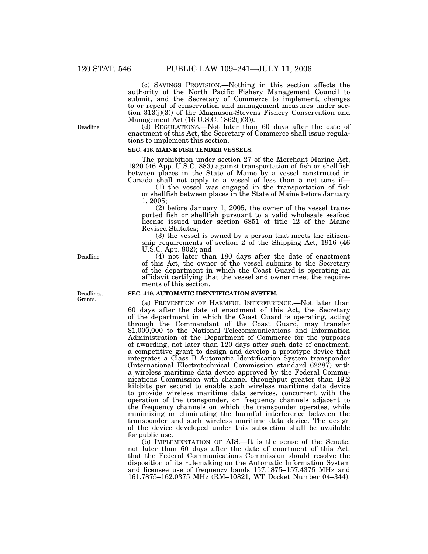(c) SAVINGS PROVISION.—Nothing in this section affects the authority of the North Pacific Fishery Management Council to submit, and the Secretary of Commerce to implement, changes to or repeal of conservation and management measures under section  $31\overline{3}$ (j)(3)) of the Magnuson-Stevens Fishery Conservation and Management Act (16 U.S.C. 1862(j)(3)).

(d) REGULATIONS.—Not later than 60 days after the date of enactment of this Act, the Secretary of Commerce shall issue regulations to implement this section.

### **SEC. 418. MAINE FISH TENDER VESSELS.**

The prohibition under section 27 of the Merchant Marine Act, 1920 (46 App. U.S.C. 883) against transportation of fish or shellfish between places in the State of Maine by a vessel constructed in Canada shall not apply to a vessel of less than 5 net tons if—

(1) the vessel was engaged in the transportation of fish or shellfish between places in the State of Maine before January 1, 2005;

(2) before January 1, 2005, the owner of the vessel transported fish or shellfish pursuant to a valid wholesale seafood license issued under section 6851 of title 12 of the Maine Revised Statutes;

(3) the vessel is owned by a person that meets the citizenship requirements of section 2 of the Shipping Act, 1916 (46 U.S.C. App. 802); and

(4) not later than 180 days after the date of enactment of this Act, the owner of the vessel submits to the Secretary of the department in which the Coast Guard is operating an affidavit certifying that the vessel and owner meet the requirements of this section.

#### **SEC. 419. AUTOMATIC IDENTIFICATION SYSTEM.**

(a) PREVENTION OF HARMFUL INTERFERENCE.—Not later than 60 days after the date of enactment of this Act, the Secretary of the department in which the Coast Guard is operating, acting through the Commandant of the Coast Guard, may transfer \$1,000,000 to the National Telecommunications and Information Administration of the Department of Commerce for the purposes of awarding, not later than 120 days after such date of enactment, a competitive grant to design and develop a prototype device that integrates a Class B Automatic Identification System transponder (International Electrotechnical Commission standard 62287) with a wireless maritime data device approved by the Federal Communications Commission with channel throughput greater than 19.2 kilobits per second to enable such wireless maritime data device to provide wireless maritime data services, concurrent with the operation of the transponder, on frequency channels adjacent to the frequency channels on which the transponder operates, while minimizing or eliminating the harmful interference between the transponder and such wireless maritime data device. The design of the device developed under this subsection shall be available for public use.

(b) IMPLEMENTATION OF AIS.—It is the sense of the Senate, not later than 60 days after the date of enactment of this Act, that the Federal Communications Commission should resolve the disposition of its rulemaking on the Automatic Information System and licensee use of frequency bands 157.1875–157.4375 MHz and 161.7875–162.0375 MHz (RM–10821, WT Docket Number 04–344).

Deadlines. Grants.

Deadline.

Deadline.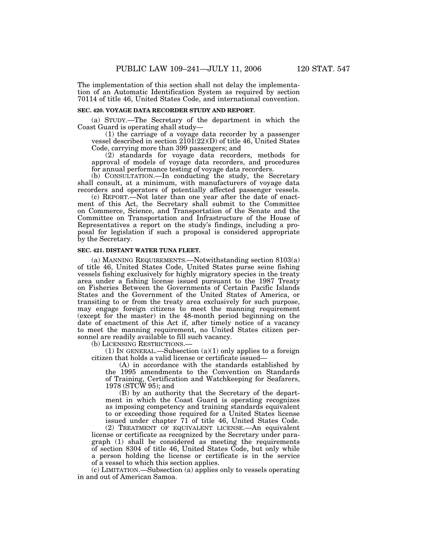The implementation of this section shall not delay the implementation of an Automatic Identification System as required by section 70114 of title 46, United States Code, and international convention.

### **SEC. 420. VOYAGE DATA RECORDER STUDY AND REPORT.**

(a) STUDY.—The Secretary of the department in which the Coast Guard is operating shall study—

(1) the carriage of a voyage data recorder by a passenger vessel described in section  $210\overline{1}(22)(D)$  of title 46, United States Code, carrying more than 399 passengers; and

(2) standards for voyage data recorders, methods for approval of models of voyage data recorders, and procedures for annual performance testing of voyage data recorders.

(b) CONSULTATION.—In conducting the study, the Secretary shall consult, at a minimum, with manufacturers of voyage data recorders and operators of potentially affected passenger vessels.

(c) REPORT.—Not later than one year after the date of enactment of this Act, the Secretary shall submit to the Committee on Commerce, Science, and Transportation of the Senate and the Committee on Transportation and Infrastructure of the House of Representatives a report on the study's findings, including a proposal for legislation if such a proposal is considered appropriate by the Secretary.

## **SEC. 421. DISTANT WATER TUNA FLEET.**

(a) MANNING REQUIREMENTS.—Notwithstanding section 8103(a) of title 46, United States Code, United States purse seine fishing vessels fishing exclusively for highly migratory species in the treaty area under a fishing license issued pursuant to the 1987 Treaty on Fisheries Between the Governments of Certain Pacific Islands States and the Government of the United States of America, or transiting to or from the treaty area exclusively for such purpose, may engage foreign citizens to meet the manning requirement (except for the master) in the 48-month period beginning on the date of enactment of this Act if, after timely notice of a vacancy to meet the manning requirement, no United States citizen personnel are readily available to fill such vacancy.

(b) LICENSING RESTRICTIONS.—

(1) IN GENERAL.—Subsection  $(a)(1)$  only applies to a foreign citizen that holds a valid license or certificate issued—

(A) in accordance with the standards established by the 1995 amendments to the Convention on Standards of Training, Certification and Watchkeeping for Seafarers, 1978 (STCW 95); and

(B) by an authority that the Secretary of the department in which the Coast Guard is operating recognizes as imposing competency and training standards equivalent to or exceeding those required for a United States license issued under chapter 71 of title 46, United States Code.

(2) TREATMENT OF EQUIVALENT LICENSE.—An equivalent license or certificate as recognized by the Secretary under paragraph (1) shall be considered as meeting the requirements of section 8304 of title 46, United States Code, but only while a person holding the license or certificate is in the service of a vessel to which this section applies.

(c) LIMITATION.—Subsection (a) applies only to vessels operating in and out of American Samoa.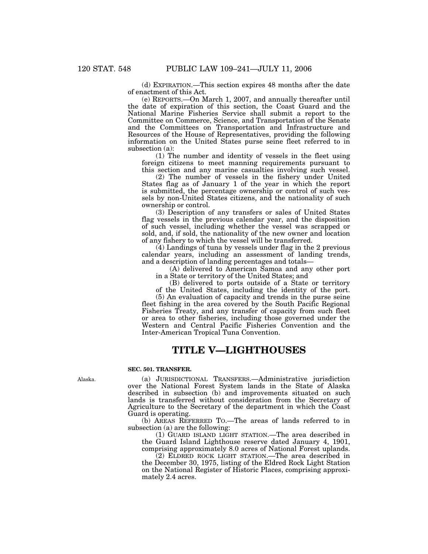(d) EXPIRATION.—This section expires 48 months after the date of enactment of this Act.

(e) REPORTS.—On March 1, 2007, and annually thereafter until the date of expiration of this section, the Coast Guard and the National Marine Fisheries Service shall submit a report to the Committee on Commerce, Science, and Transportation of the Senate and the Committees on Transportation and Infrastructure and Resources of the House of Representatives, providing the following information on the United States purse seine fleet referred to in subsection (a):

(1) The number and identity of vessels in the fleet using foreign citizens to meet manning requirements pursuant to this section and any marine casualties involving such vessel.

(2) The number of vessels in the fishery under United States flag as of January 1 of the year in which the report is submitted, the percentage ownership or control of such vessels by non-United States citizens, and the nationality of such ownership or control.

(3) Description of any transfers or sales of United States flag vessels in the previous calendar year, and the disposition of such vessel, including whether the vessel was scrapped or sold, and, if sold, the nationality of the new owner and location of any fishery to which the vessel will be transferred.

(4) Landings of tuna by vessels under flag in the 2 previous calendar years, including an assessment of landing trends, and a description of landing percentages and totals—

(A) delivered to American Samoa and any other port in a State or territory of the United States; and

(B) delivered to ports outside of a State or territory of the United States, including the identity of the port.

(5) An evaluation of capacity and trends in the purse seine fleet fishing in the area covered by the South Pacific Regional Fisheries Treaty, and any transfer of capacity from such fleet or area to other fisheries, including those governed under the Western and Central Pacific Fisheries Convention and the Inter-American Tropical Tuna Convention.

## **TITLE V—LIGHTHOUSES**

#### **SEC. 501. TRANSFER.**

(a) JURISDICTIONAL TRANSFERS.—Administrative jurisdiction over the National Forest System lands in the State of Alaska described in subsection (b) and improvements situated on such lands is transferred without consideration from the Secretary of Agriculture to the Secretary of the department in which the Coast Guard is operating.

(b) AREAS REFERRED TO.—The areas of lands referred to in subsection (a) are the following:

(1) GUARD ISLAND LIGHT STATION.—The area described in the Guard Island Lighthouse reserve dated January 4, 1901, comprising approximately 8.0 acres of National Forest uplands.

(2) ELDRED ROCK LIGHT STATION.—The area described in the December 30, 1975, listing of the Eldred Rock Light Station on the National Register of Historic Places, comprising approximately 2.4 acres.

Alaska.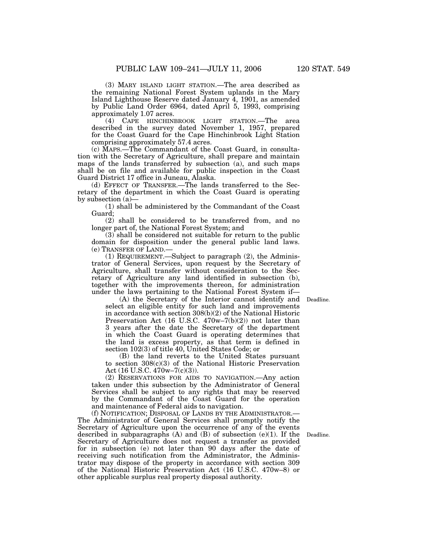(3) MARY ISLAND LIGHT STATION.—The area described as the remaining National Forest System uplands in the Mary Island Lighthouse Reserve dated January 4, 1901, as amended by Public Land Order 6964, dated April 5, 1993, comprising approximately 1.07 acres.

(4) CAPE HINCHINBROOK LIGHT STATION.—The area described in the survey dated November 1, 1957, prepared for the Coast Guard for the Cape Hinchinbrook Light Station comprising approximately 57.4 acres.

(c) MAPS.—The Commandant of the Coast Guard, in consultation with the Secretary of Agriculture, shall prepare and maintain maps of the lands transferred by subsection (a), and such maps shall be on file and available for public inspection in the Coast Guard District 17 office in Juneau, Alaska.

(d) EFFECT OF TRANSFER.—The lands transferred to the Secretary of the department in which the Coast Guard is operating by subsection (a)—

(1) shall be administered by the Commandant of the Coast Guard;

(2) shall be considered to be transferred from, and no longer part of, the National Forest System; and

(3) shall be considered not suitable for return to the public domain for disposition under the general public land laws. (e) TRANSFER OF LAND.—

(1) REQUIREMENT.—Subject to paragraph (2), the Administrator of General Services, upon request by the Secretary of Agriculture, shall transfer without consideration to the Secretary of Agriculture any land identified in subsection (b), together with the improvements thereon, for administration under the laws pertaining to the National Forest System if—

(A) the Secretary of the Interior cannot identify and Deadline. select an eligible entity for such land and improvements in accordance with section 308(b)(2) of the National Historic Preservation Act (16 U.S.C. 470w–7(b)(2)) not later than 3 years after the date the Secretary of the department in which the Coast Guard is operating determines that the land is excess property, as that term is defined in section 102(3) of title 40, United States Code; or

(B) the land reverts to the United States pursuant to section 308(c)(3) of the National Historic Preservation Act  $(16 \text{ U.S.C. } 470 \text{w} - 7 \text{(c)} \text{(3)})$ .

(2) RESERVATIONS FOR AIDS TO NAVIGATION.—Any action taken under this subsection by the Administrator of General Services shall be subject to any rights that may be reserved by the Commandant of the Coast Guard for the operation and maintenance of Federal aids to navigation.

(f) NOTIFICATION; DISPOSAL OF LANDS BY THE ADMINISTRATOR.— The Administrator of General Services shall promptly notify the Secretary of Agriculture upon the occurrence of any of the events described in subparagraphs (A) and (B) of subsection (e)(1). If the Secretary of Agriculture does not request a transfer as provided for in subsection (e) not later than 90 days after the date of receiving such notification from the Administrator, the Administrator may dispose of the property in accordance with section 309 of the National Historic Preservation Act (16 U.S.C. 470w–8) or other applicable surplus real property disposal authority.

Deadline.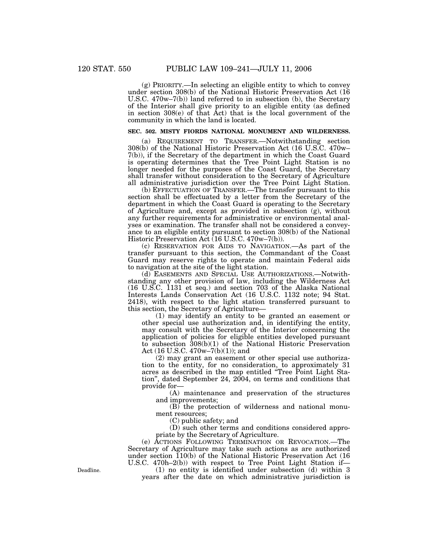(g) PRIORITY.—In selecting an eligible entity to which to convey under section 308(b) of the National Historic Preservation Act (16 U.S.C. 470w–7(b)) land referred to in subsection (b), the Secretary of the Interior shall give priority to an eligible entity (as defined in section  $308(e)$  of that  $\tilde{A}ct$  that is the local government of the community in which the land is located.

## **SEC. 502. MISTY FIORDS NATIONAL MONUMENT AND WILDERNESS.**

(a) REQUIREMENT TO TRANSFER.—Notwithstanding section 308(b) of the National Historic Preservation Act (16 U.S.C. 470w– 7(b)), if the Secretary of the department in which the Coast Guard is operating determines that the Tree Point Light Station is no longer needed for the purposes of the Coast Guard, the Secretary shall transfer without consideration to the Secretary of Agriculture all administrative jurisdiction over the Tree Point Light Station.

(b) EFFECTUATION OF TRANSFER.—The transfer pursuant to this section shall be effectuated by a letter from the Secretary of the department in which the Coast Guard is operating to the Secretary of Agriculture and, except as provided in subsection (g), without any further requirements for administrative or environmental analyses or examination. The transfer shall not be considered a conveyance to an eligible entity pursuant to section 308(b) of the National Historic Preservation Act (16 U.S.C. 470w–7(b)).

(c) RESERVATION FOR AIDS TO NAVIGATION.—As part of the transfer pursuant to this section, the Commandant of the Coast Guard may reserve rights to operate and maintain Federal aids to navigation at the site of the light station.

(d) EASEMENTS AND SPECIAL USE AUTHORIZATIONS.—Notwithstanding any other provision of law, including the Wilderness Act (16 U.S.C. 1131 et seq.) and section 703 of the Alaska National Interests Lands Conservation Act (16 U.S.C. 1132 note; 94 Stat. 2418), with respect to the light station transferred pursuant to this section, the Secretary of Agriculture—

(1) may identify an entity to be granted an easement or other special use authorization and, in identifying the entity, may consult with the Secretary of the Interior concerning the application of policies for eligible entities developed pursuant to subsection 308(b)(1) of the National Historic Preservation Act (16 U.S.C. 470w–7(b)(1)); and

(2) may grant an easement or other special use authorization to the entity, for no consideration, to approximately 31 acres as described in the map entitled ''Tree Point Light Station'', dated September 24, 2004, on terms and conditions that provide for—

(A) maintenance and preservation of the structures and improvements;

(B) the protection of wilderness and national monument resources;

(C) public safety; and

(D) such other terms and conditions considered appropriate by the Secretary of Agriculture.

(e) ACTIONS FOLLOWING TERMINATION OR REVOCATION.—The Secretary of Agriculture may take such actions as are authorized under section 110(b) of the National Historic Preservation Act (16 U.S.C. 470h–2(b)) with respect to Tree Point Light Station if—

(1) no entity is identified under subsection (d) within 3 years after the date on which administrative jurisdiction is

Deadline.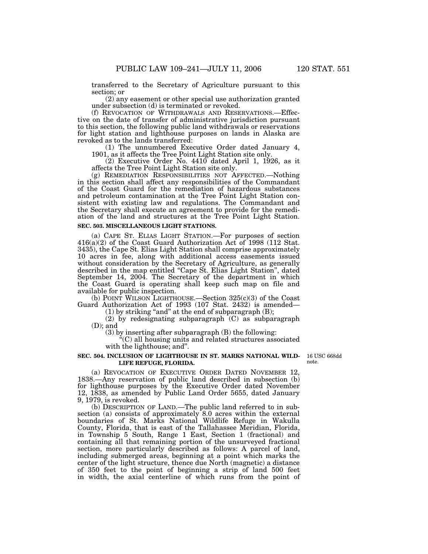transferred to the Secretary of Agriculture pursuant to this section; or

(2) any easement or other special use authorization granted under subsection (d) is terminated or revoked.

(f) REVOCATION OF WITHDRAWALS AND RESERVATIONS.—Effective on the date of transfer of administrative jurisdiction pursuant to this section, the following public land withdrawals or reservations for light station and lighthouse purposes on lands in Alaska are revoked as to the lands transferred:

(1) The unnumbered Executive Order dated January 4, 1901, as it affects the Tree Point Light Station site only.

 $(2)$  Executive Order No. 4410 dated April 1, 1926, as it affects the Tree Point Light Station site only.

(g) REMEDIATION RESPONSIBILITIES NOT AFFECTED.—Nothing in this section shall affect any responsibilities of the Commandant of the Coast Guard for the remediation of hazardous substances and petroleum contamination at the Tree Point Light Station consistent with existing law and regulations. The Commandant and the Secretary shall execute an agreement to provide for the remediation of the land and structures at the Tree Point Light Station.

#### **SEC. 503. MISCELLANEOUS LIGHT STATIONS.**

(a) CAPE ST. ELIAS LIGHT STATION.—For purposes of section 416(a)(2) of the Coast Guard Authorization Act of 1998 (112 Stat. 3435), the Cape St. Elias Light Station shall comprise approximately 10 acres in fee, along with additional access easements issued without consideration by the Secretary of Agriculture, as generally described in the map entitled ''Cape St. Elias Light Station'', dated September 14, 2004. The Secretary of the department in which the Coast Guard is operating shall keep such map on file and available for public inspection.

(b) POINT WILSON LIGHTHOUSE.—Section  $325(c)(3)$  of the Coast Guard Authorization Act of 1993 (107 Stat. 2432) is amended—

 $(1)$  by striking "and" at the end of subparagraph  $(B)$ ;

(2) by redesignating subparagraph  $(C)$  as subparagraph (D); and

(3) by inserting after subparagraph (B) the following:

''(C) all housing units and related structures associated with the lighthouse; and''.

#### **SEC. 504. INCLUSION OF LIGHTHOUSE IN ST. MARKS NATIONAL WILD-**16 USC 668dd **LIFE REFUGE, FLORIDA.**

note.

(a) REVOCATION OF EXECUTIVE ORDER DATED NOVEMBER 12, 1838.—Any reservation of public land described in subsection (b) for lighthouse purposes by the Executive Order dated November 12, 1838, as amended by Public Land Order 5655, dated January 9, 1979, is revoked.

(b) DESCRIPTION OF LAND.—The public land referred to in subsection (a) consists of approximately 8.0 acres within the external boundaries of St. Marks National Wildlife Refuge in Wakulla County, Florida, that is east of the Tallahassee Meridian, Florida, in Township 5 South, Range 1 East, Section 1 (fractional) and containing all that remaining portion of the unsurveyed fractional section, more particularly described as follows: A parcel of land, including submerged areas, beginning at a point which marks the center of the light structure, thence due North (magnetic) a distance of 350 feet to the point of beginning a strip of land 500 feet in width, the axial centerline of which runs from the point of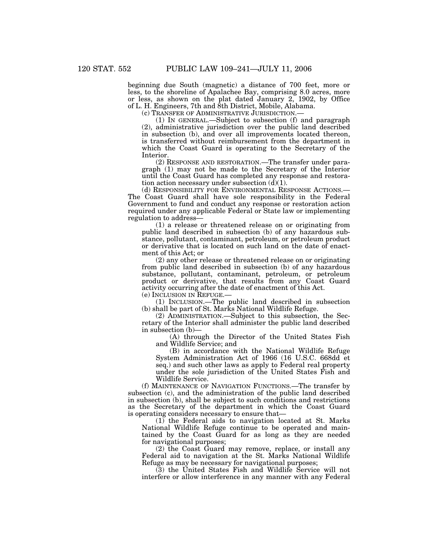beginning due South (magnetic) a distance of 700 feet, more or less, to the shoreline of Apalachee Bay, comprising 8.0 acres, more or less, as shown on the plat dated January 2, 1902, by Office of L. H. Engineers, 7th and 8th District, Mobile, Alabama.

 $(1)$  IN GENERAL.—Subject to subsection  $(f)$  and paragraph (2), administrative jurisdiction over the public land described in subsection (b), and over all improvements located thereon, is transferred without reimbursement from the department in which the Coast Guard is operating to the Secretary of the Interior.

(2) RESPONSE AND RESTORATION.—The transfer under paragraph (1) may not be made to the Secretary of the Interior until the Coast Guard has completed any response and restoration action necessary under subsection  $(d)(1)$ .<br>(d) RESPONSIBILITY FOR ENVIRONMENTAL RESPONSE ACTIONS.—

The Coast Guard shall have sole responsibility in the Federal Government to fund and conduct any response or restoration action required under any applicable Federal or State law or implementing regulation to address—

(1) a release or threatened release on or originating from public land described in subsection (b) of any hazardous substance, pollutant, contaminant, petroleum, or petroleum product or derivative that is located on such land on the date of enactment of this Act; or

(2) any other release or threatened release on or originating from public land described in subsection (b) of any hazardous substance, pollutant, contaminant, petroleum, or petroleum product or derivative, that results from any Coast Guard activity occurring after the date of enactment of this Act.

(e) INCLUSION IN REFUGE.—

(1) INCLUSION.—The public land described in subsection (b) shall be part of St. Marks National Wildlife Refuge.

(2) ADMINISTRATION.—Subject to this subsection, the Secretary of the Interior shall administer the public land described in subsection (b)—

(A) through the Director of the United States Fish and Wildlife Service; and

(B) in accordance with the National Wildlife Refuge System Administration Act of 1966 (16 U.S.C. 668dd et seq.) and such other laws as apply to Federal real property under the sole jurisdiction of the United States Fish and Wildlife Service.

(f) MAINTENANCE OF NAVIGATION FUNCTIONS.—The transfer by subsection (c), and the administration of the public land described in subsection (b), shall be subject to such conditions and restrictions as the Secretary of the department in which the Coast Guard is operating considers necessary to ensure that—

(1) the Federal aids to navigation located at St. Marks National Wildlife Refuge continue to be operated and maintained by the Coast Guard for as long as they are needed for navigational purposes;

(2) the Coast Guard may remove, replace, or install any Federal aid to navigation at the St. Marks National Wildlife Refuge as may be necessary for navigational purposes;

(3) the United States Fish and Wildlife Service will not interfere or allow interference in any manner with any Federal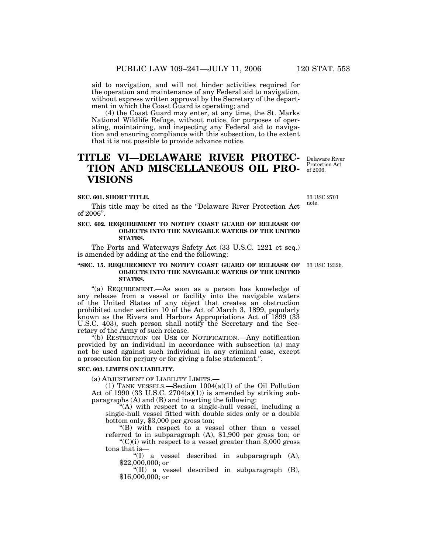aid to navigation, and will not hinder activities required for the operation and maintenance of any Federal aid to navigation, without express written approval by the Secretary of the department in which the Coast Guard is operating; and

(4) the Coast Guard may enter, at any time, the St. Marks National Wildlife Refuge, without notice, for purposes of operating, maintaining, and inspecting any Federal aid to navigation and ensuring compliance with this subsection, to the extent that it is not possible to provide advance notice.

## **TITLE VI—DELAWARE RIVER PROTEC-TION AND MISCELLANEOUS OIL PRO-VISIONS**

#### **SEC. 601. SHORT TITLE.**

This title may be cited as the ''Delaware River Protection Act of 2006''.

## **SEC. 602. REQUIREMENT TO NOTIFY COAST GUARD OF RELEASE OF OBJECTS INTO THE NAVIGABLE WATERS OF THE UNITED STATES.**

The Ports and Waterways Safety Act (33 U.S.C. 1221 et seq.) is amended by adding at the end the following:

#### **''SEC. 15. REQUIREMENT TO NOTIFY COAST GUARD OF RELEASE OF OBJECTS INTO THE NAVIGABLE WATERS OF THE UNITED STATES.**

"(a) REQUIREMENT.—As soon as a person has knowledge of any release from a vessel or facility into the navigable waters of the United States of any object that creates an obstruction prohibited under section 10 of the Act of March 3, 1899, popularly known as the Rivers and Harbors Appropriations Act of 1899 (33 U.S.C. 403), such person shall notify the Secretary and the Secretary of the Army of such release.

''(b) RESTRICTION ON USE OF NOTIFICATION.—Any notification provided by an individual in accordance with subsection (a) may not be used against such individual in any criminal case, except a prosecution for perjury or for giving a false statement.''.

## **SEC. 603. LIMITS ON LIABILITY.**

(a) ADJUSTMENT OF LIABILITY LIMITS.—

(1) TANK VESSELS.—Section 1004(a)(1) of the Oil Pollution Act of 1990 (33 U.S.C.  $2704(a)(1)$ ) is amended by striking subparagraphs (A) and (B) and inserting the following:

''(A) with respect to a single-hull vessel, including a single-hull vessel fitted with double sides only or a double bottom only, \$3,000 per gross ton;

"(B) with respect to a vessel other than a vessel referred to in subparagraph (A), \$1,900 per gross ton; or  $C'(C)(i)$  with respect to a vessel greater than 3,000 gross

tons that is—

''(I) a vessel described in subparagraph (A), \$22,000,000; or

''(II) a vessel described in subparagraph (B), \$16,000,000; or

Delaware River Protection Act of 2006.

33 USC 2701 note.

33 USC 1232b.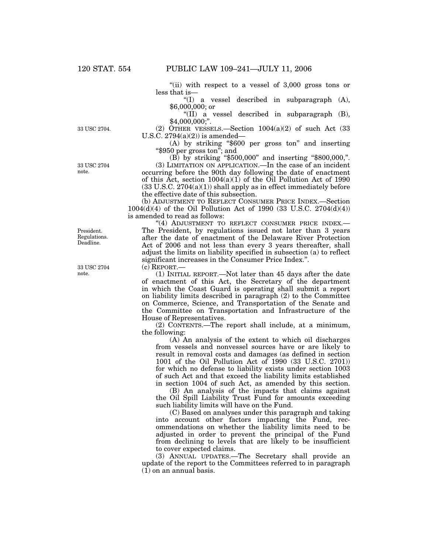''(ii) with respect to a vessel of 3,000 gross tons or less that is—

''(I) a vessel described in subparagraph (A), \$6,000,000; or

''(II) a vessel described in subparagraph (B), \$4,000,000;''.

(2) OTHER VESSELS.—Section  $1004(a)(2)$  of such Act (33) U.S.C.  $2794(a)(2)$  is amended—

(A) by striking ''\$600 per gross ton'' and inserting ''\$950 per gross ton''; and

(B) by striking ''\$500,000'' and inserting ''\$800,000,''.

(3) LIMITATION ON APPLICATION.—In the case of an incident occurring before the 90th day following the date of enactment of this Act, section 1004(a)(1) of the Oil Pollution Act of 1990  $(33 \text{ U.S.C. } 2704(a)(1))$  shall apply as in effect immediately before the effective date of this subsection.

(b) ADJUSTMENT TO REFLECT CONSUMER PRICE INDEX.—Section 1004(d)(4) of the Oil Pollution Act of 1990 (33 U.S.C. 2704(d)(4)) is amended to read as follows:

"(4) ADJUSTMENT TO REFLECT CONSUMER PRICE INDEX.-The President, by regulations issued not later than 3 years after the date of enactment of the Delaware River Protection Act of 2006 and not less than every 3 years thereafter, shall adjust the limits on liability specified in subsection (a) to reflect significant increases in the Consumer Price Index.''.

(c) REPORT.—

(1) INITIAL REPORT.—Not later than 45 days after the date of enactment of this Act, the Secretary of the department in which the Coast Guard is operating shall submit a report on liability limits described in paragraph (2) to the Committee on Commerce, Science, and Transportation of the Senate and the Committee on Transportation and Infrastructure of the House of Representatives.

(2) CONTENTS.—The report shall include, at a minimum, the following:

(A) An analysis of the extent to which oil discharges from vessels and nonvessel sources have or are likely to result in removal costs and damages (as defined in section 1001 of the Oil Pollution Act of 1990 (33 U.S.C. 2701)) for which no defense to liability exists under section 1003 of such Act and that exceed the liability limits established in section 1004 of such Act, as amended by this section.

(B) An analysis of the impacts that claims against the Oil Spill Liability Trust Fund for amounts exceeding such liability limits will have on the Fund.

(C) Based on analyses under this paragraph and taking into account other factors impacting the Fund, recommendations on whether the liability limits need to be adjusted in order to prevent the principal of the Fund from declining to levels that are likely to be insufficient to cover expected claims.

(3) ANNUAL UPDATES.—The Secretary shall provide an update of the report to the Committees referred to in paragraph (1) on an annual basis.

33 USC 2704 note.

33 USC 2704.

President. Regulations. Deadline.

33 USC 2704 note.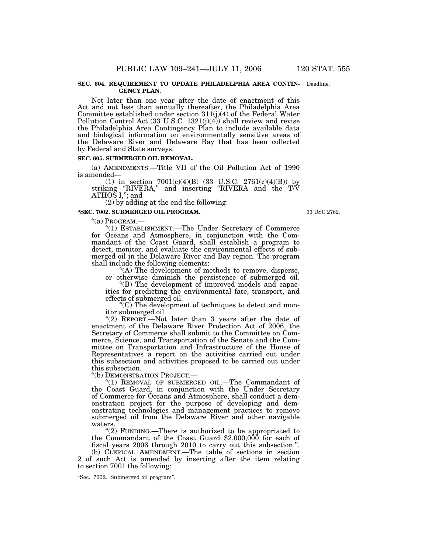#### **SEC. 604. REQUIREMENT TO UPDATE PHILADELPHIA AREA CONTIN-**Deadline. **GENCY PLAN.**

Not later than one year after the date of enactment of this Act and not less than annually thereafter, the Philadelphia Area Committee established under section 311(j)(4) of the Federal Water Pollution Control Act  $(33 \text{ U.S.C. } 1321(j)(4))$  shall review and revise the Philadelphia Area Contingency Plan to include available data and biological information on environmentally sensitive areas of the Delaware River and Delaware Bay that has been collected by Federal and State surveys.

#### **SEC. 605. SUBMERGED OIL REMOVAL.**

(a) AMENDMENTS.—Title VII of the Oil Pollution Act of 1990 is amended—

(1) in section  $7001(c)(4)(B)$  (33 U.S.C. 2761(c)(4)(B)) by striking ''RIVERA,'' and inserting ''RIVERA and the T/V ATHOS I,''; and

(2) by adding at the end the following:

#### **''SEC. 7002. SUBMERGED OIL PROGRAM.**

"(a) Program.-

''(1) ESTABLISHMENT.—The Under Secretary of Commerce for Oceans and Atmosphere, in conjunction with the Commandant of the Coast Guard, shall establish a program to detect, monitor, and evaluate the environmental effects of submerged oil in the Delaware River and Bay region. The program shall include the following elements:

"(A) The development of methods to remove, disperse, or otherwise diminish the persistence of submerged oil.

''(B) The development of improved models and capacities for predicting the environmental fate, transport, and effects of submerged oil.

''(C) The development of techniques to detect and monitor submerged oil.

"(2) REPORT.—Not later than 3 years after the date of enactment of the Delaware River Protection Act of 2006, the Secretary of Commerce shall submit to the Committee on Commerce, Science, and Transportation of the Senate and the Committee on Transportation and Infrastructure of the House of Representatives a report on the activities carried out under this subsection and activities proposed to be carried out under this subsection.

''(b) DEMONSTRATION PROJECT.—

''(1) REMOVAL OF SUBMERGED OIL.—The Commandant of the Coast Guard, in conjunction with the Under Secretary of Commerce for Oceans and Atmosphere, shall conduct a demonstration project for the purpose of developing and demonstrating technologies and management practices to remove submerged oil from the Delaware River and other navigable waters.

"(2) FUNDING.—There is authorized to be appropriated to the Commandant of the Coast Guard \$2,000,000 for each of fiscal years 2006 through 2010 to carry out this subsection.''.

(b) CLERICAL AMENDMENT.—The table of sections in section 2 of such Act is amended by inserting after the item relating to section 7001 the following:

''Sec. 7002. Submerged oil program''.

33 USC 2762.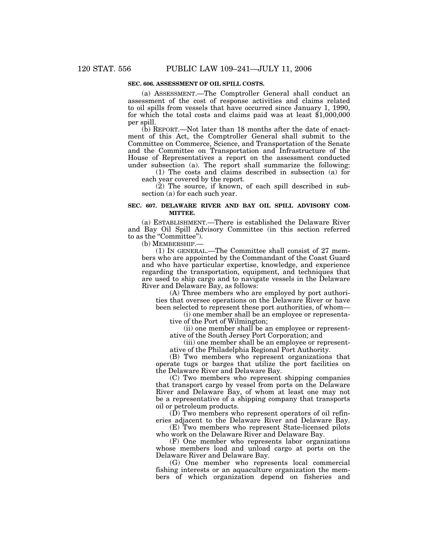## **SEC. 606. ASSESSMENT OF OIL SPILL COSTS.**

(a) ASSESSMENT.—The Comptroller General shall conduct an assessment of the cost of response activities and claims related to oil spills from vessels that have occurred since January 1, 1990, for which the total costs and claims paid was at least \$1,000,000 per spill.

(b) REPORT.—Not later than 18 months after the date of enactment of this Act, the Comptroller General shall submit to the Committee on Commerce, Science, and Transportation of the Senate and the Committee on Transportation and Infrastructure of the House of Representatives a report on the assessment conducted under subsection (a). The report shall summarize the following:

(1) The costs and claims described in subsection (a) for each year covered by the report.

(2) The source, if known, of each spill described in subsection (a) for each such year.

### **SEC. 607. DELAWARE RIVER AND BAY OIL SPILL ADVISORY COM-MITTEE.**

(a) ESTABLISHMENT.—There is established the Delaware River and Bay Oil Spill Advisory Committee (in this section referred to as the "Committee").

(b) MEMBERSHIP.—

(1) IN GENERAL.—The Committee shall consist of 27 members who are appointed by the Commandant of the Coast Guard and who have particular expertise, knowledge, and experience regarding the transportation, equipment, and techniques that are used to ship cargo and to navigate vessels in the Delaware River and Delaware Bay, as follows:

(A) Three members who are employed by port authorities that oversee operations on the Delaware River or have been selected to represent these port authorities, of whom—

(i) one member shall be an employee or representative of the Port of Wilmington;

(ii) one member shall be an employee or representative of the South Jersey Port Corporation; and

(iii) one member shall be an employee or representative of the Philadelphia Regional Port Authority.

(B) Two members who represent organizations that operate tugs or barges that utilize the port facilities on the Delaware River and Delaware Bay.

(C) Two members who represent shipping companies that transport cargo by vessel from ports on the Delaware River and Delaware Bay, of whom at least one may not be a representative of a shipping company that transports oil or petroleum products.

(D) Two members who represent operators of oil refineries adjacent to the Delaware River and Delaware Bay.

(E) Two members who represent State-licensed pilots who work on the Delaware River and Delaware Bay.

(F) One member who represents labor organizations whose members load and unload cargo at ports on the Delaware River and Delaware Bay.

(G) One member who represents local commercial fishing interests or an aquaculture organization the members of which organization depend on fisheries and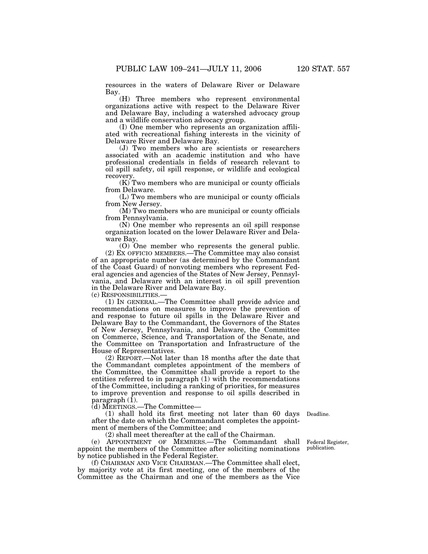resources in the waters of Delaware River or Delaware Bay.

(H) Three members who represent environmental organizations active with respect to the Delaware River and Delaware Bay, including a watershed advocacy group and a wildlife conservation advocacy group.

(I) One member who represents an organization affiliated with recreational fishing interests in the vicinity of Delaware River and Delaware Bay.

(J) Two members who are scientists or researchers associated with an academic institution and who have professional credentials in fields of research relevant to oil spill safety, oil spill response, or wildlife and ecological recovery.

(K) Two members who are municipal or county officials from Delaware.

(L) Two members who are municipal or county officials from New Jersey.

(M) Two members who are municipal or county officials from Pennsylvania.

(N) One member who represents an oil spill response organization located on the lower Delaware River and Delaware Bay.

(O) One member who represents the general public. (2) EX OFFICIO MEMBERS.—The Committee may also consist of an appropriate number (as determined by the Commandant of the Coast Guard) of nonvoting members who represent Federal agencies and agencies of the States of New Jersey, Pennsylvania, and Delaware with an interest in oil spill prevention in the Delaware River and Delaware Bay.

(c) RESPONSIBILITIES.—

(1) IN GENERAL.—The Committee shall provide advice and recommendations on measures to improve the prevention of and response to future oil spills in the Delaware River and Delaware Bay to the Commandant, the Governors of the States of New Jersey, Pennsylvania, and Delaware, the Committee on Commerce, Science, and Transportation of the Senate, and the Committee on Transportation and Infrastructure of the House of Representatives.

(2) REPORT.—Not later than 18 months after the date that the Commandant completes appointment of the members of the Committee, the Committee shall provide a report to the entities referred to in paragraph (1) with the recommendations of the Committee, including a ranking of priorities, for measures to improve prevention and response to oil spills described in paragraph (1).

(d) MEETINGS.—The Committee—

(1) shall hold its first meeting not later than 60 days Deadline. after the date on which the Commandant completes the appointment of members of the Committee; and

(2) shall meet thereafter at the call of the Chairman.

(e) APPOINTMENT OF MEMBERS.—The Commandant shall appoint the members of the Committee after soliciting nominations by notice published in the Federal Register.

(f) CHAIRMAN AND VICE CHAIRMAN.—The Committee shall elect, by majority vote at its first meeting, one of the members of the Committee as the Chairman and one of the members as the Vice

Federal Register, publication.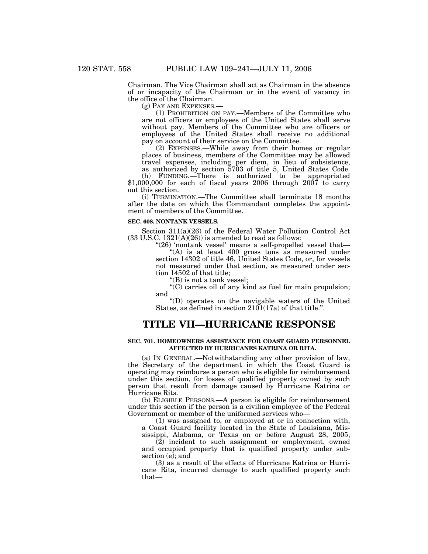Chairman. The Vice Chairman shall act as Chairman in the absence of or incapacity of the Chairman or in the event of vacancy in the office of the Chairman.

(g) PAY AND EXPENSES.— (1) PROHIBITION ON PAY.—Members of the Committee who are not officers or employees of the United States shall serve without pay. Members of the Committee who are officers or employees of the United States shall receive no additional pay on account of their service on the Committee.

(2) EXPENSES.—While away from their homes or regular places of business, members of the Committee may be allowed travel expenses, including per diem, in lieu of subsistence, as authorized by section 5703 of title 5, United States Code.

(h) FUNDING.—There is authorized to be appropriated \$1,000,000 for each of fiscal years 2006 through 2007 to carry out this section.

(i) TERMINATION.—The Committee shall terminate 18 months after the date on which the Commandant completes the appointment of members of the Committee.

#### **SEC. 608. NONTANK VESSELS.**

Section 311(a)(26) of the Federal Water Pollution Control Act  $(33 \text{ U.S.C. } 1321(\text{A})(26))$  is amended to read as follows:

"(26) 'nontank vessel' means a self-propelled vessel that-"(A) is at least 400 gross tons as measured under section 14302 of title 46, United States Code, or, for vessels not measured under that section, as measured under section 14502 of that title;

''(B) is not a tank vessel;

''(C) carries oil of any kind as fuel for main propulsion; and

''(D) operates on the navigable waters of the United States, as defined in section 2101(17a) of that title.''.

## **TITLE VII—HURRICANE RESPONSE**

#### **SEC. 701. HOMEOWNERS ASSISTANCE FOR COAST GUARD PERSONNEL AFFECTED BY HURRICANES KATRINA OR RITA.**

(a) IN GENERAL.—Notwithstanding any other provision of law, the Secretary of the department in which the Coast Guard is operating may reimburse a person who is eligible for reimbursement under this section, for losses of qualified property owned by such person that result from damage caused by Hurricane Katrina or Hurricane Rita.

(b) ELIGIBLE PERSONS.—A person is eligible for reimbursement under this section if the person is a civilian employee of the Federal Government or member of the uniformed services who—

(1) was assigned to, or employed at or in connection with, a Coast Guard facility located in the State of Louisiana, Mississippi, Alabama, or Texas on or before August 28, 2005;

(2) incident to such assignment or employment, owned and occupied property that is qualified property under subsection (e); and

(3) as a result of the effects of Hurricane Katrina or Hurricane Rita, incurred damage to such qualified property such that—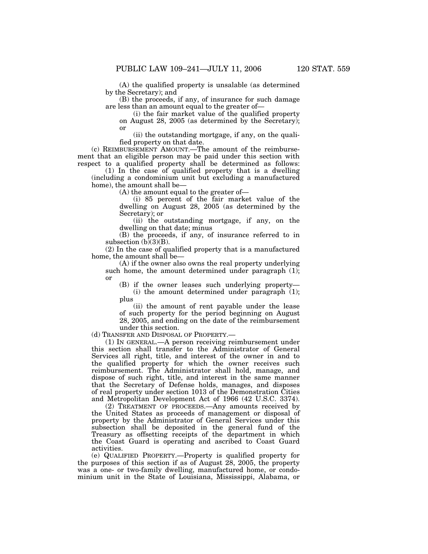(A) the qualified property is unsalable (as determined by the Secretary); and

(B) the proceeds, if any, of insurance for such damage are less than an amount equal to the greater of—

(i) the fair market value of the qualified property on August 28, 2005 (as determined by the Secretary); or

(ii) the outstanding mortgage, if any, on the qualified property on that date.

(c) REIMBURSEMENT AMOUNT.—The amount of the reimbursement that an eligible person may be paid under this section with respect to a qualified property shall be determined as follows:

(1) In the case of qualified property that is a dwelling (including a condominium unit but excluding a manufactured home), the amount shall be—

(A) the amount equal to the greater of—

(i) 85 percent of the fair market value of the dwelling on August 28, 2005 (as determined by the Secretary); or

(ii) the outstanding mortgage, if any, on the dwelling on that date; minus

(B) the proceeds, if any, of insurance referred to in subsection  $(b)(3)(B)$ .

(2) In the case of qualified property that is a manufactured home, the amount shall be—

(A) if the owner also owns the real property underlying such home, the amount determined under paragraph (1); or

(B) if the owner leases such underlying property— (i) the amount determined under paragraph (1); plus

(ii) the amount of rent payable under the lease of such property for the period beginning on August 28, 2005, and ending on the date of the reimbursement under this section.

(d) TRANSFER AND DISPOSAL OF PROPERTY.—

(1) IN GENERAL.—A person receiving reimbursement under this section shall transfer to the Administrator of General Services all right, title, and interest of the owner in and to the qualified property for which the owner receives such reimbursement. The Administrator shall hold, manage, and dispose of such right, title, and interest in the same manner that the Secretary of Defense holds, manages, and disposes of real property under section 1013 of the Demonstration Cities and Metropolitan Development Act of 1966 (42 U.S.C. 3374).

(2) TREATMENT OF PROCEEDS.—Any amounts received by the United States as proceeds of management or disposal of property by the Administrator of General Services under this subsection shall be deposited in the general fund of the Treasury as offsetting receipts of the department in which the Coast Guard is operating and ascribed to Coast Guard activities.

(e) QUALIFIED PROPERTY.—Property is qualified property for the purposes of this section if as of August  $28$ , 2005, the property was a one- or two-family dwelling, manufactured home, or condominium unit in the State of Louisiana, Mississippi, Alabama, or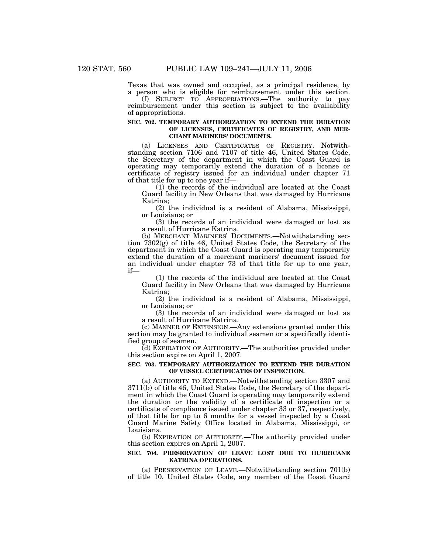Texas that was owned and occupied, as a principal residence, by a person who is eligible for reimbursement under this section.

(f) SUBJECT TO APPROPRIATIONS.—The authority to pay reimbursement under this section is subject to the availability of appropriations.

#### **SEC. 702. TEMPORARY AUTHORIZATION TO EXTEND THE DURATION OF LICENSES, CERTIFICATES OF REGISTRY, AND MER-CHANT MARINERS' DOCUMENTS.**

(a) LICENSES AND CERTIFICATES OF REGISTRY.—Notwithstanding section 7106 and 7107 of title 46, United States Code, the Secretary of the department in which the Coast Guard is operating may temporarily extend the duration of a license or certificate of registry issued for an individual under chapter 71 of that title for up to one year if—

(1) the records of the individual are located at the Coast Guard facility in New Orleans that was damaged by Hurricane Katrina;

(2) the individual is a resident of Alabama, Mississippi, or Louisiana; or

(3) the records of an individual were damaged or lost as a result of Hurricane Katrina.

(b) MERCHANT MARINERS' DOCUMENTS.—Notwithstanding section 7302(g) of title 46, United States Code, the Secretary of the department in which the Coast Guard is operating may temporarily extend the duration of a merchant mariners' document issued for an individual under chapter 73 of that title for up to one year, if—

(1) the records of the individual are located at the Coast Guard facility in New Orleans that was damaged by Hurricane Katrina;

(2) the individual is a resident of Alabama, Mississippi, or Louisiana; or

(3) the records of an individual were damaged or lost as a result of Hurricane Katrina.

(c) MANNER OF EXTENSION.—Any extensions granted under this section may be granted to individual seamen or a specifically identified group of seamen.

(d) EXPIRATION OF AUTHORITY.—The authorities provided under this section expire on April 1, 2007.

#### **SEC. 703. TEMPORARY AUTHORIZATION TO EXTEND THE DURATION OF VESSEL CERTIFICATES OF INSPECTION.**

(a) AUTHORITY TO EXTEND.—Notwithstanding section 3307 and 3711(b) of title 46, United States Code, the Secretary of the department in which the Coast Guard is operating may temporarily extend the duration or the validity of a certificate of inspection or a certificate of compliance issued under chapter 33 or 37, respectively, of that title for up to 6 months for a vessel inspected by a Coast Guard Marine Safety Office located in Alabama, Mississippi, or Louisiana.

(b) EXPIRATION OF AUTHORITY.—The authority provided under this section expires on April 1, 2007.

#### **SEC. 704. PRESERVATION OF LEAVE LOST DUE TO HURRICANE KATRINA OPERATIONS.**

(a) PRESERVATION OF LEAVE.—Notwithstanding section 701(b) of title 10, United States Code, any member of the Coast Guard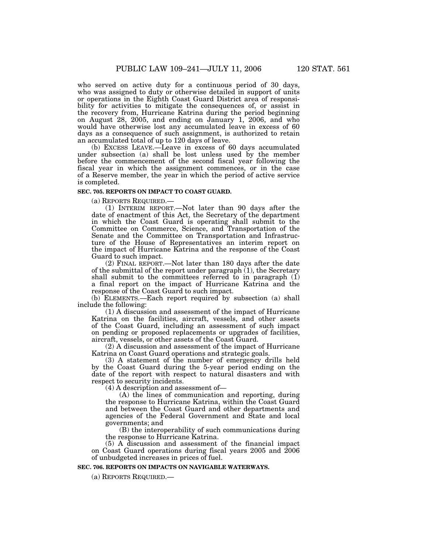who served on active duty for a continuous period of 30 days, who was assigned to duty or otherwise detailed in support of units or operations in the Eighth Coast Guard District area of responsibility for activities to mitigate the consequences of, or assist in the recovery from, Hurricane Katrina during the period beginning on August 28, 2005, and ending on January 1, 2006, and who would have otherwise lost any accumulated leave in excess of 60 days as a consequence of such assignment, is authorized to retain an accumulated total of up to 120 days of leave.

(b) EXCESS LEAVE.—Leave in excess of 60 days accumulated under subsection (a) shall be lost unless used by the member before the commencement of the second fiscal year following the fiscal year in which the assignment commences, or in the case of a Reserve member, the year in which the period of active service is completed.

### **SEC. 705. REPORTS ON IMPACT TO COAST GUARD.**

(a) REPORTS REQUIRED.— (1) INTERIM REPORT.—Not later than 90 days after the date of enactment of this Act, the Secretary of the department in which the Coast Guard is operating shall submit to the Committee on Commerce, Science, and Transportation of the Senate and the Committee on Transportation and Infrastructure of the House of Representatives an interim report on the impact of Hurricane Katrina and the response of the Coast Guard to such impact.

(2) FINAL REPORT.—Not later than 180 days after the date of the submittal of the report under paragraph (1), the Secretary shall submit to the committees referred to in paragraph  $(i)$ a final report on the impact of Hurricane Katrina and the response of the Coast Guard to such impact.

(b) ELEMENTS.—Each report required by subsection (a) shall include the following:

(1) A discussion and assessment of the impact of Hurricane Katrina on the facilities, aircraft, vessels, and other assets of the Coast Guard, including an assessment of such impact on pending or proposed replacements or upgrades of facilities, aircraft, vessels, or other assets of the Coast Guard.

(2) A discussion and assessment of the impact of Hurricane Katrina on Coast Guard operations and strategic goals.

(3) A statement of the number of emergency drills held by the Coast Guard during the 5-year period ending on the date of the report with respect to natural disasters and with respect to security incidents.

(4) A description and assessment of—

(A) the lines of communication and reporting, during the response to Hurricane Katrina, within the Coast Guard and between the Coast Guard and other departments and agencies of the Federal Government and State and local governments; and

(B) the interoperability of such communications during the response to Hurricane Katrina.

(5) A discussion and assessment of the financial impact on Coast Guard operations during fiscal years 2005 and 2006 of unbudgeted increases in prices of fuel.

## **SEC. 706. REPORTS ON IMPACTS ON NAVIGABLE WATERWAYS.**

(a) REPORTS REQUIRED.—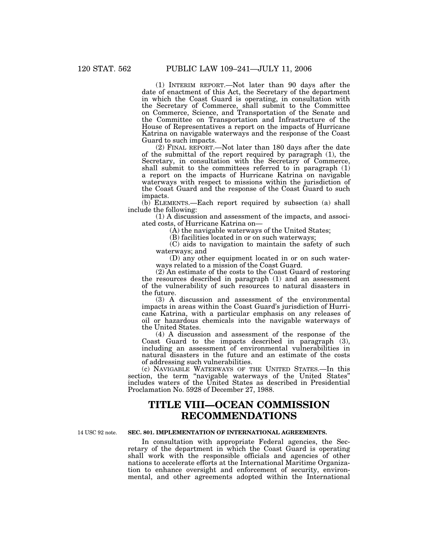(1) INTERIM REPORT.—Not later than 90 days after the date of enactment of this Act, the Secretary of the department in which the Coast Guard is operating, in consultation with the Secretary of Commerce, shall submit to the Committee on Commerce, Science, and Transportation of the Senate and the Committee on Transportation and Infrastructure of the House of Representatives a report on the impacts of Hurricane Katrina on navigable waterways and the response of the Coast Guard to such impacts.

(2) FINAL REPORT.—Not later than 180 days after the date of the submittal of the report required by paragraph (1), the Secretary, in consultation with the Secretary of Commerce, shall submit to the committees referred to in paragraph (1) a report on the impacts of Hurricane Katrina on navigable waterways with respect to missions within the jurisdiction of the Coast Guard and the response of the Coast Guard to such impacts.

(b) ELEMENTS.—Each report required by subsection (a) shall include the following:

(1) A discussion and assessment of the impacts, and associated costs, of Hurricane Katrina on—

(A) the navigable waterways of the United States;

(B) facilities located in or on such waterways;

(C) aids to navigation to maintain the safety of such waterways; and

(D) any other equipment located in or on such waterways related to a mission of the Coast Guard.

(2) An estimate of the costs to the Coast Guard of restoring the resources described in paragraph (1) and an assessment of the vulnerability of such resources to natural disasters in the future.

(3) A discussion and assessment of the environmental impacts in areas within the Coast Guard's jurisdiction of Hurricane Katrina, with a particular emphasis on any releases of oil or hazardous chemicals into the navigable waterways of the United States.

(4) A discussion and assessment of the response of the Coast Guard to the impacts described in paragraph (3), including an assessment of environmental vulnerabilities in natural disasters in the future and an estimate of the costs of addressing such vulnerabilities.

(c) NAVIGABLE WATERWAYS OF THE UNITED STATES.—In this section, the term "navigable waterways of the United States" includes waters of the United States as described in Presidential Proclamation No. 5928 of December 27, 1988.

## **TITLE VIII—OCEAN COMMISSION RECOMMENDATIONS**

14 USC 92 note.

## **SEC. 801. IMPLEMENTATION OF INTERNATIONAL AGREEMENTS.**

In consultation with appropriate Federal agencies, the Secretary of the department in which the Coast Guard is operating shall work with the responsible officials and agencies of other nations to accelerate efforts at the International Maritime Organization to enhance oversight and enforcement of security, environmental, and other agreements adopted within the International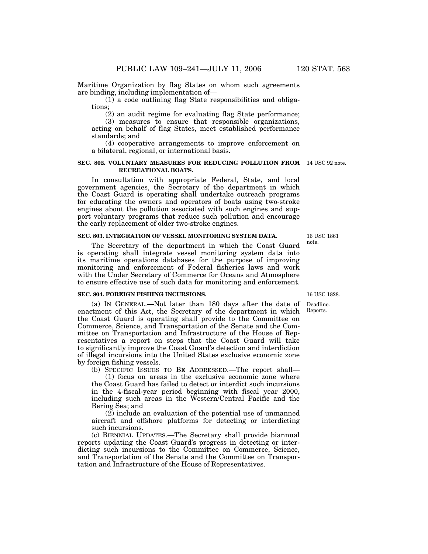Maritime Organization by flag States on whom such agreements are binding, including implementation of—

(1) a code outlining flag State responsibilities and obligations;

(2) an audit regime for evaluating flag State performance;

(3) measures to ensure that responsible organizations, acting on behalf of flag States, meet established performance standards; and

(4) cooperative arrangements to improve enforcement on a bilateral, regional, or international basis.

#### **SEC. 802. VOLUNTARY MEASURES FOR REDUCING POLLUTION FROM** 14 USC 92 note. **RECREATIONAL BOATS.**

In consultation with appropriate Federal, State, and local government agencies, the Secretary of the department in which the Coast Guard is operating shall undertake outreach programs for educating the owners and operators of boats using two-stroke engines about the pollution associated with such engines and support voluntary programs that reduce such pollution and encourage the early replacement of older two-stroke engines.

#### **SEC. 803. INTEGRATION OF VESSEL MONITORING SYSTEM DATA.**

The Secretary of the department in which the Coast Guard is operating shall integrate vessel monitoring system data into its maritime operations databases for the purpose of improving monitoring and enforcement of Federal fisheries laws and work with the Under Secretary of Commerce for Oceans and Atmosphere to ensure effective use of such data for monitoring and enforcement.

#### **SEC. 804. FOREIGN FISHING INCURSIONS.**

(a) IN GENERAL.—Not later than 180 days after the date of enactment of this Act, the Secretary of the department in which the Coast Guard is operating shall provide to the Committee on Commerce, Science, and Transportation of the Senate and the Committee on Transportation and Infrastructure of the House of Representatives a report on steps that the Coast Guard will take to significantly improve the Coast Guard's detection and interdiction of illegal incursions into the United States exclusive economic zone by foreign fishing vessels.

(b) SPECIFIC ISSUES TO BE ADDRESSED.—The report shall—

(1) focus on areas in the exclusive economic zone where the Coast Guard has failed to detect or interdict such incursions in the 4-fiscal-year period beginning with fiscal year 2000, including such areas in the Western/Central Pacific and the Bering Sea; and

(2) include an evaluation of the potential use of unmanned aircraft and offshore platforms for detecting or interdicting such incursions.

(c) BIENNIAL UPDATES.—The Secretary shall provide biannual reports updating the Coast Guard's progress in detecting or interdicting such incursions to the Committee on Commerce, Science, and Transportation of the Senate and the Committee on Transportation and Infrastructure of the House of Representatives.

16 USC 1861 note.

16 USC 1828.

Deadline. Reports.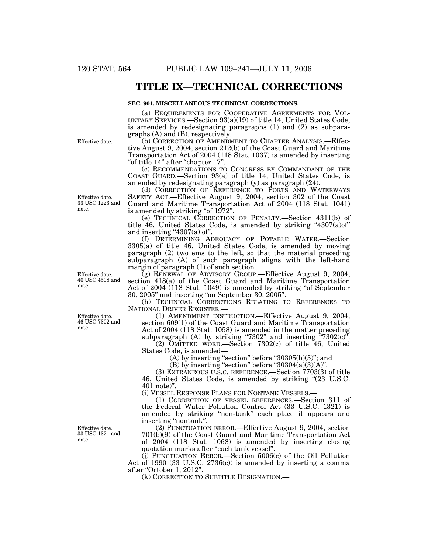## **TITLE IX—TECHNICAL CORRECTIONS**

#### **SEC. 901. MISCELLANEOUS TECHNICAL CORRECTIONS.**

(a) REQUIREMENTS FOR COOPERATIVE AGREEMENTS FOR VOL-UNTARY SERVICES.—Section 93(a)(19) of title 14, United States Code, is amended by redesignating paragraphs (1) and (2) as subparagraphs (A) and (B), respectively.

(b) CORRECTION OF AMENDMENT TO CHAPTER ANALYSIS.—Effective August 9, 2004, section 212(b) of the Coast Guard and Maritime Transportation Act of 2004 (118 Stat. 1037) is amended by inserting "of title 14" after "chapter 17".

(c) RECOMMENDATIONS TO CONGRESS BY COMMANDANT OF THE COAST GUARD.—Section 93(a) of title 14, United States Code, is amended by redesignating paragraph (y) as paragraph (24).

(d) CORRECTION OF REFERENCE TO PORTS AND WATERWAYS SAFETY ACT.—Effective August 9, 2004, section 302 of the Coast Guard and Maritime Transportation Act of 2004 (118 Stat. 1041) is amended by striking "of 1972".

(e) TECHNICAL CORRECTION OF PENALTY.—Section 4311(b) of title 46, United States Code, is amended by striking " $4307(a)$  of" and inserting  $4307(a)$  of".

(f) DETERMINING ADEQUACY OF POTABLE WATER.—Section 3305(a) of title 46, United States Code, is amended by moving paragraph (2) two ems to the left, so that the material preceding subparagraph (A) of such paragraph aligns with the left-hand margin of paragraph (1) of such section.

(g) RENEWAL OF ADVISORY GROUP.—Effective August 9, 2004, section 418(a) of the Coast Guard and Maritime Transportation Act of 2004 (118 Stat. 1049) is amended by striking ''of September 30, 2005'' and inserting ''on September 30, 2005''.

(h) TECHNICAL CORRECTIONS RELATING TO REFERENCES TO NATIONAL DRIVER REGISTER.—

(1) AMENDMENT INSTRUCTION.—Effective August 9, 2004, section 609(1) of the Coast Guard and Maritime Transportation Act of 2004 (118 Stat. 1058) is amended in the matter preceding subparagraph (A) by striking "7302" and inserting  $202^{\circ}$ ".

(2) OMITTED WORD.—Section 7302(c) of title 46, United States Code, is amended—

 $(A)$  by inserting "section" before " $30305(b)(5)$ "; and

(B) by inserting "section" before " $30304(a)(3)(A)$ ".

(3) EXTRANEOUS U.S.C. REFERENCE.—Section 7703(3) of title 46, United States Code, is amended by striking "(23 U.S.C.) 401 note)''.

(i) VESSEL RESPONSE PLANS FOR NONTANK VESSELS.—

(1) CORRECTION OF VESSEL REFERENCES.—Section 311 of the Federal Water Pollution Control Act (33 U.S.C. 1321) is amended by striking ''non-tank'' each place it appears and inserting ''nontank''.

(2) PUNCTUATION ERROR.—Effective August 9, 2004, section 701(b)(9) of the Coast Guard and Maritime Transportation Act of 2004 (118 Stat. 1068) is amended by inserting closing quotation marks after "each tank vessel".

 $(i)$  PUNCTUATION ERROR.—Section 5006 $(c)$  of the Oil Pollution Act of 1990 (33 U.S.C. 2736(c)) is amended by inserting a comma after "October 1, 2012"

(k) CORRECTION TO SUBTITLE DESIGNATION.—

Effective date.

Effective date. 33 USC 1223 and note.

Effective date. 46 USC 4508 and note.

Effective date. 46 USC 7302 and note.

Effective date. 33 USC 1321 and note.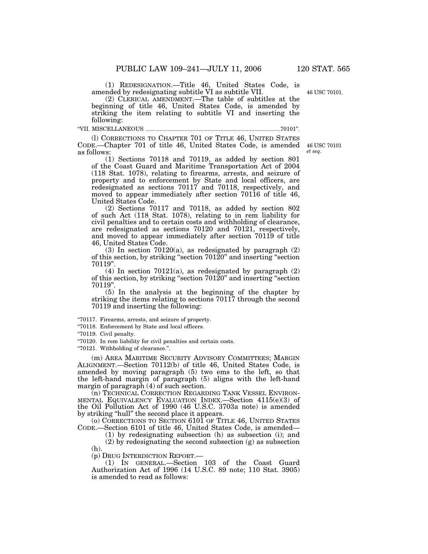46 USC 70101.

(1) REDESIGNATION.—Title 46, United States Code, is amended by redesignating subtitle VI as subtitle VII.

(2) CLERICAL AMENDMENT.—The table of subtitles at the beginning of title 46, United States Code, is amended by striking the item relating to subtitle VI and inserting the following:

''VII. MISCELLANEOUS .......................................................................................70101''.

(l) CORRECTIONS TO CHAPTER 701 OF TITLE 46, UNITED STATES CODE.—Chapter 701 of title 46, United States Code, is amended as follows:

(1) Sections 70118 and 70119, as added by section 801 of the Coast Guard and Maritime Transportation Act of 2004 (118 Stat. 1078), relating to firearms, arrests, and seizure of property and to enforcement by State and local officers, are redesignated as sections 70117 and 70118, respectively, and moved to appear immediately after section 70116 of title 46, United States Code.

(2) Sections 70117 and 70118, as added by section 802 of such Act (118 Stat. 1078), relating to in rem liability for civil penalties and to certain costs and withholding of clearance, are redesignated as sections 70120 and 70121, respectively, and moved to appear immediately after section 70119 of title 46, United States Code.

(3) In section  $70120(a)$ , as redesignated by paragraph  $(2)$ of this section, by striking ''section 70120'' and inserting ''section 70119''.

(4) In section 70121(a), as redesignated by paragraph (2) of this section, by striking ''section 70120'' and inserting ''section 70119''.

(5) In the analysis at the beginning of the chapter by striking the items relating to sections 70117 through the second 70119 and inserting the following:

''70117. Firearms, arrests, and seizure of property.

''70118. Enforcement by State and local officers.

''70119. Civil penalty.

(h).

''70120. In rem liability for civil penalties and certain costs.

''70121. Withholding of clearance.''.

(m) AREA MARITIME SECURITY ADVISORY COMMITTEES; MARGIN ALIGNMENT.—Section 70112(b) of title 46, United States Code, is amended by moving paragraph (5) two ems to the left, so that the left-hand margin of paragraph (5) aligns with the left-hand margin of paragraph (4) of such section.

(n) TECHNICAL CORRECTION REGARDING TANK VESSEL ENVIRON-MENTAL EQUIVALENCY EVALUATION INDEX.—Section 4115(e)(3) of the Oil Pollution Act of 1990 (46 U.S.C. 3703a note) is amended by striking ''hull'' the second place it appears.

(o) CORRECTIONS TO SECTION 6101 OF TITLE 46, UNITED STATES CODE.—Section 6101 of title 46, United States Code, is amended—

(1) by redesignating subsection (h) as subsection (i); and (2) by redesignating the second subsection (g) as subsection

(p) DRUG INTERDICTION REPORT.—

(1) IN GENERAL.—Section 103 of the Coast Guard Authorization Act of 1996 (14 U.S.C. 89 note; 110 Stat. 3905) is amended to read as follows:

46 USC 70101 *et seq*.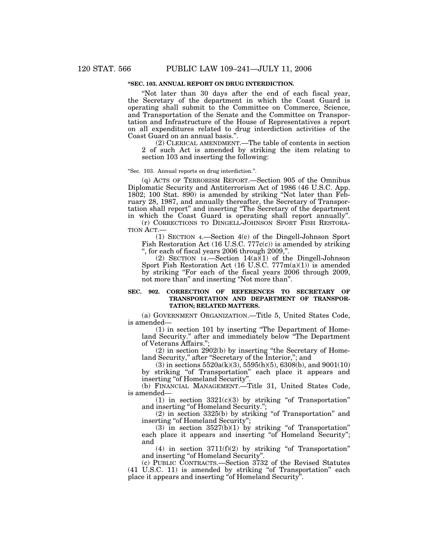## **''SEC. 103. ANNUAL REPORT ON DRUG INTERDICTION.**

''Not later than 30 days after the end of each fiscal year, the Secretary of the department in which the Coast Guard is operating shall submit to the Committee on Commerce, Science, and Transportation of the Senate and the Committee on Transportation and Infrastructure of the House of Representatives a report on all expenditures related to drug interdiction activities of the Coast Guard on an annual basis."

(2) CLERICAL AMENDMENT.—The table of contents in section 2 of such Act is amended by striking the item relating to section 103 and inserting the following:

#### ''Sec. 103. Annual reports on drug interdiction.''.

(q) ACTS OF TERRORISM REPORT.—Section 905 of the Omnibus Diplomatic Security and Antiterrorism Act of 1986 (46 U.S.C. App. 1802; 100 Stat. 890) is amended by striking ''Not later than February 28, 1987, and annually thereafter, the Secretary of Transportation shall report'' and inserting ''The Secretary of the department in which the Coast Guard is operating shall report annually''.

(r) CORRECTIONS TO DINGELL-JOHNSON SPORT FISH RESTORA-TION ACT.—

(1) SECTION 4.—Section 4(c) of the Dingell-Johnson Sport Fish Restoration Act (16 U.S.C. 777c(c)) is amended by striking '', for each of fiscal years 2006 through 2009,''.

(2) SECTION 14.—Section 14(a)(1) of the Dingell-Johnson Sport Fish Restoration Act (16 U.S.C. 777m(a)(1)) is amended by striking ''For each of the fiscal years 2006 through 2009, not more than'' and inserting ''Not more than''.

#### **SEC. 902. CORRECTION OF REFERENCES TO SECRETARY OF TRANSPORTATION AND DEPARTMENT OF TRANSPOR-TATION; RELATED MATTERS.**

(a) GOVERNMENT ORGANIZATION.—Title 5, United States Code, is amended—

(1) in section 101 by inserting ''The Department of Homeland Security.'' after and immediately below ''The Department of Veterans Affairs.'';

(2) in section 2902(b) by inserting ''the Secretary of Homeland Security," after "Secretary of the Interior,"; and

(3) in sections  $5520a(k)(3)$ ,  $5595(h)(5)$ ,  $6308(h)$ , and  $9001(10)$ by striking ''of Transportation'' each place it appears and inserting "of Homeland Security".

(b) FINANCIAL MANAGEMENT.—Title 31, United States Code, is amended—

 $(1)$  in section  $3321(c)(3)$  by striking "of Transportation" and inserting "of Homeland Security.";

 $(2)$  in section 3325(b) by striking "of Transportation" and inserting "of Homeland Security";

(3) in section  $3527(b)(1)$  by striking "of Transportation" each place it appears and inserting "of Homeland Security"; and

(4) in section  $3711(f)(2)$  by striking "of Transportation" and inserting ''of Homeland Security''.

(c) PUBLIC CONTRACTS.—Section 3732 of the Revised Statutes (41 U.S.C. 11) is amended by striking "of Transportation" each place it appears and inserting ''of Homeland Security''.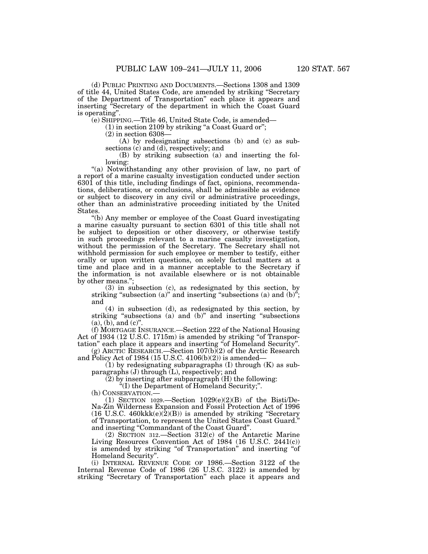(d) PUBLIC PRINTING AND DOCUMENTS.—Sections 1308 and 1309 of title 44, United States Code, are amended by striking ''Secretary of the Department of Transportation'' each place it appears and inserting ''Secretary of the department in which the Coast Guard is operating''.

(e) SHIPPING.—Title 46, United State Code, is amended—

 $(1)$  in section 2109 by striking "a Coast Guard or";

(2) in section 6308—

(A) by redesignating subsections (b) and (c) as subsections (c) and (d), respectively; and

(B) by striking subsection (a) and inserting the following:

"(a) Notwithstanding any other provision of law, no part of a report of a marine casualty investigation conducted under section 6301 of this title, including findings of fact, opinions, recommendations, deliberations, or conclusions, shall be admissible as evidence or subject to discovery in any civil or administrative proceedings, other than an administrative proceeding initiated by the United States.

''(b) Any member or employee of the Coast Guard investigating a marine casualty pursuant to section 6301 of this title shall not be subject to deposition or other discovery, or otherwise testify in such proceedings relevant to a marine casualty investigation, without the permission of the Secretary. The Secretary shall not withhold permission for such employee or member to testify, either orally or upon written questions, on solely factual matters at a time and place and in a manner acceptable to the Secretary if the information is not available elsewhere or is not obtainable by other means.'';

(3) in subsection (c), as redesignated by this section, by striking "subsection (a)" and inserting "subsections (a) and  $(b)$ "; and

(4) in subsection (d), as redesignated by this section, by striking "subsections (a) and (b)" and inserting "subsections"  $(a)$ ,  $(b)$ , and  $(c)$ ".

(f) MORTGAGE INSURANCE.—Section 222 of the National Housing Act of 1934 (12 U.S.C. 1715m) is amended by striking "of Transportation'' each place it appears and inserting ''of Homeland Security''.

(g) ARCTIC RESEARCH.—Section 107(b)(2) of the Arctic Research and Policy Act of 1984 (15 U.S.C. 4106(b)(2)) is amended—

 $(1)$  by redesignating subparagraphs  $(I)$  through  $(K)$  as subparagraphs (J) through (L), respectively; and

(2) by inserting after subparagraph (H) the following:

''(I) the Department of Homeland Security;''.

(h) CONSERVATION.—

(1) SECTION 1029.—Section  $1029(e)(2)(B)$  of the Bisti/De-Na-Zin Wilderness Expansion and Fossil Protection Act of 1996 (16 U.S.C. 460kkk $(e)(2)(B)$ ) is amended by striking "Secretary of Transportation, to represent the United States Coast Guard.'' and inserting ''Commandant of the Coast Guard''.

(2) SECTION 312.—Section 312(c) of the Antarctic Marine Living Resources Convention Act of 1984 (16 U.S.C. 2441(c)) is amended by striking "of Transportation" and inserting "of Homeland Security''.

(i) INTERNAL REVENUE CODE OF 1986.—Section 3122 of the Internal Revenue Code of 1986 (26 U.S.C. 3122) is amended by striking "Secretary of Transportation" each place it appears and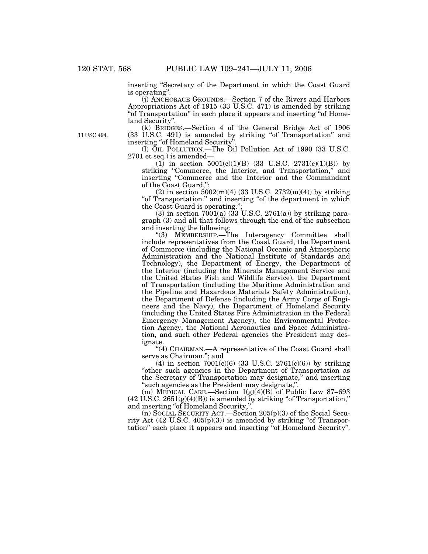inserting "Secretary of the Department in which the Coast Guard is operating''.

(j) ANCHORAGE GROUNDS.—Section 7 of the Rivers and Harbors Appropriations Act of 1915 (33 U.S.C. 471) is amended by striking "of Transportation" in each place it appears and inserting "of Homeland Security''.

(k) BRIDGES.—Section 4 of the General Bridge Act of 1906 (33 U.S.C. 491) is amended by striking ''of Transportation'' and inserting "of Homeland Security"

(l) OIL POLLUTION.—The Oil Pollution Act of 1990 (33 U.S.C. 2701 et seq.) is amended—

 $(1)$  in section  $5001(c)(1)(B)$   $(33 \text{ U.S.C. } 2731(c)(1)(B))$  by striking "Commerce, the Interior, and Transportation," and inserting ''Commerce and the Interior and the Commandant of the Coast Guard,'';

(2) in section  $5002(m)(4)$  (33 U.S.C.  $2732(m)(4)$ ) by striking "of Transportation." and inserting "of the department in which the Coast Guard is operating."

(3) in section  $7001(a)$  (33 U.S.C. 2761(a)) by striking paragraph (3) and all that follows through the end of the subsection and inserting the following:

''(3) MEMBERSHIP.—The Interagency Committee shall include representatives from the Coast Guard, the Department of Commerce (including the National Oceanic and Atmospheric Administration and the National Institute of Standards and Technology), the Department of Energy, the Department of the Interior (including the Minerals Management Service and the United States Fish and Wildlife Service), the Department of Transportation (including the Maritime Administration and the Pipeline and Hazardous Materials Safety Administration), the Department of Defense (including the Army Corps of Engineers and the Navy), the Department of Homeland Security (including the United States Fire Administration in the Federal Emergency Management Agency), the Environmental Protection Agency, the National Aeronautics and Space Administration, and such other Federal agencies the President may designate.

"(4) CHAIRMAN.—A representative of the Coast Guard shall serve as Chairman.''; and

(4) in section  $7001(c)(6)$  (33 U.S.C. 2761(c)(6)) by striking ''other such agencies in the Department of Transportation as the Secretary of Transportation may designate,'' and inserting "such agencies as the President may designate,"

(m) MEDICAL CARE.—Section  $1(g)(4)(B)$  of Public Law 87–693  $(42 \text{ U.S.C. } 2651(g)(4)(B))$  is amended by striking "of Transportation," and inserting ''of Homeland Security,''.

(n) SOCIAL SECURITY ACT.—Section 205(p)(3) of the Social Security Act  $(42 \text{ U.S.C. } 405(p)(3))$  is amended by striking "of Transportation'' each place it appears and inserting ''of Homeland Security''.

33 USC 494.